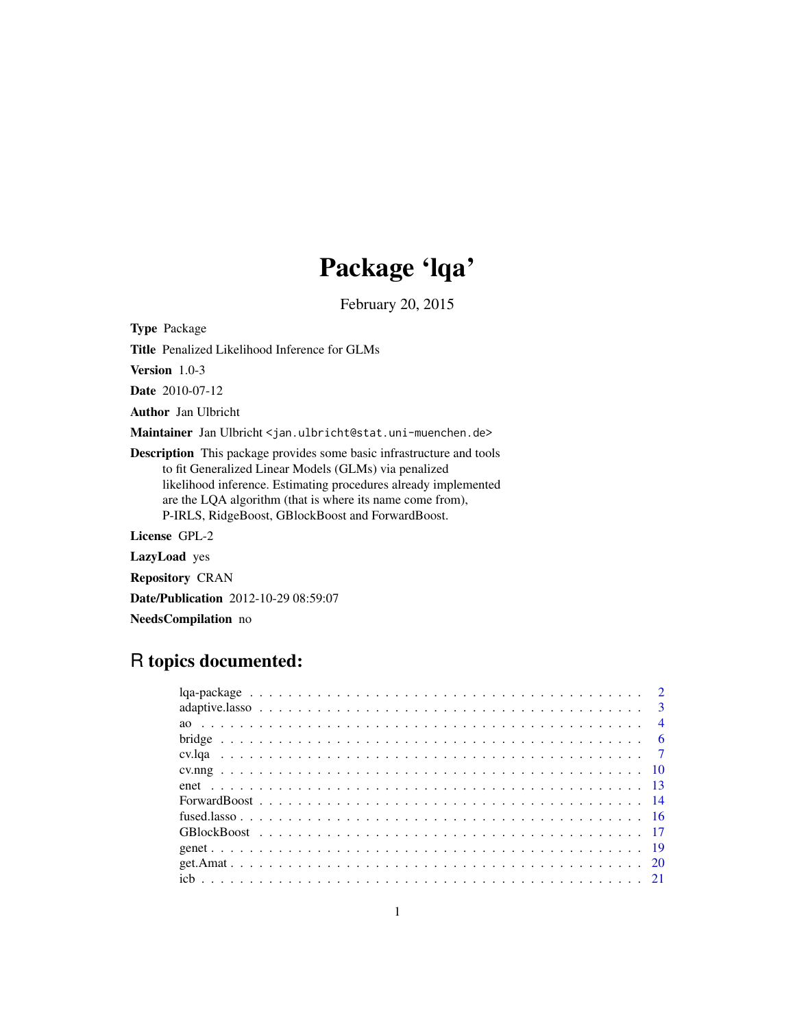# Package 'lqa'

February 20, 2015

Type Package

Title Penalized Likelihood Inference for GLMs

Version 1.0-3

Date 2010-07-12

Author Jan Ulbricht

Maintainer Jan Ulbricht <jan.ulbricht@stat.uni-muenchen.de>

Description This package provides some basic infrastructure and tools to fit Generalized Linear Models (GLMs) via penalized likelihood inference. Estimating procedures already implemented are the LQA algorithm (that is where its name come from), P-IRLS, RidgeBoost, GBlockBoost and ForwardBoost.

License GPL-2

LazyLoad yes

Repository CRAN

Date/Publication 2012-10-29 08:59:07

NeedsCompilation no

# R topics documented: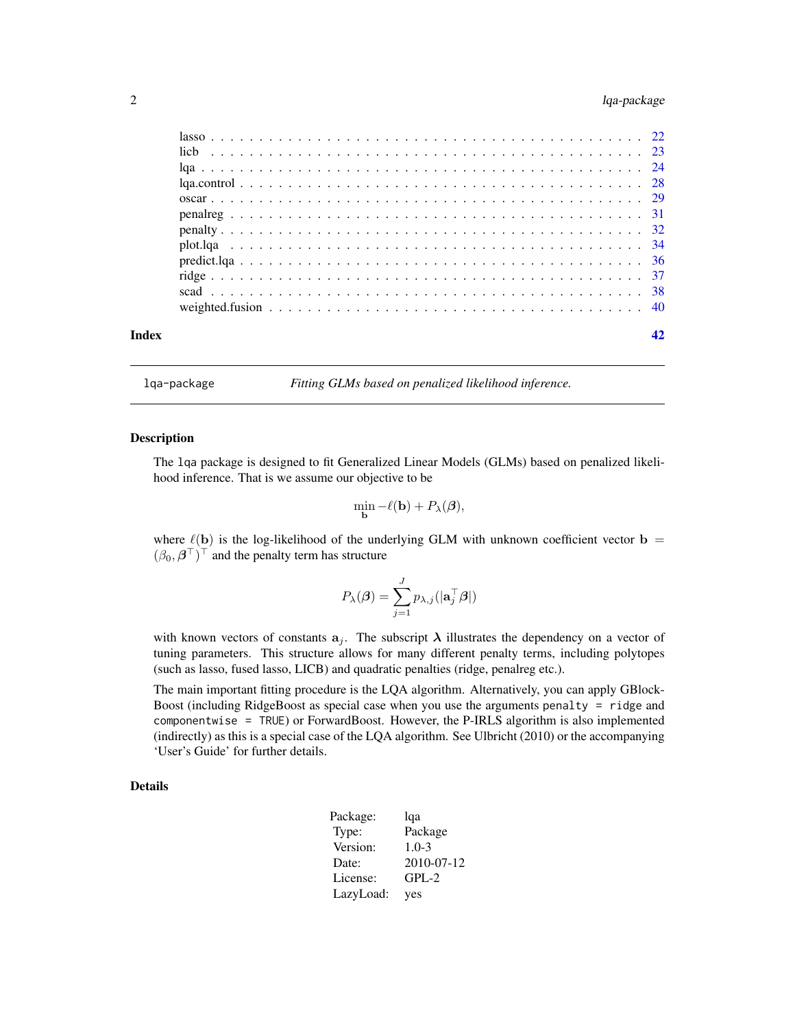# <span id="page-1-0"></span>2 lqa-package

| Index |  |  |  |  |  |  |  |  |  |  |  |  |  |  |  |  |  |  |
|-------|--|--|--|--|--|--|--|--|--|--|--|--|--|--|--|--|--|--|

<span id="page-1-1"></span>lqa-package *Fitting GLMs based on penalized likelihood inference.*

#### Description

The lqa package is designed to fit Generalized Linear Models (GLMs) based on penalized likelihood inference. That is we assume our objective to be

$$
\min_{\mathbf{b}} -\ell(\mathbf{b}) + P_{\lambda}(\boldsymbol{\beta}),
$$

where  $\ell(b)$  is the log-likelihood of the underlying GLM with unknown coefficient vector b =  $(\beta_0, \beta^{\top})^{\top}$  and the penalty term has structure

$$
P_{\lambda}(\boldsymbol{\beta}) = \sum_{j=1}^J p_{\lambda,j}(|\mathbf{a}_j^{\top}\boldsymbol{\beta}|)
$$

with known vectors of constants  $a_j$ . The subscript  $\lambda$  illustrates the dependency on a vector of tuning parameters. This structure allows for many different penalty terms, including polytopes (such as lasso, fused lasso, LICB) and quadratic penalties (ridge, penalreg etc.).

The main important fitting procedure is the LQA algorithm. Alternatively, you can apply GBlock-Boost (including RidgeBoost as special case when you use the arguments penalty = ridge and componentwise = TRUE) or ForwardBoost. However, the P-IRLS algorithm is also implemented (indirectly) as this is a special case of the LQA algorithm. See Ulbricht (2010) or the accompanying 'User's Guide' for further details.

# Details

| Package:  | lqa        |
|-----------|------------|
| Type:     | Package    |
| Version:  | $1.0 - 3$  |
| Date:     | 2010-07-12 |
| License:  | $GPL-2$    |
| LazyLoad: | yes        |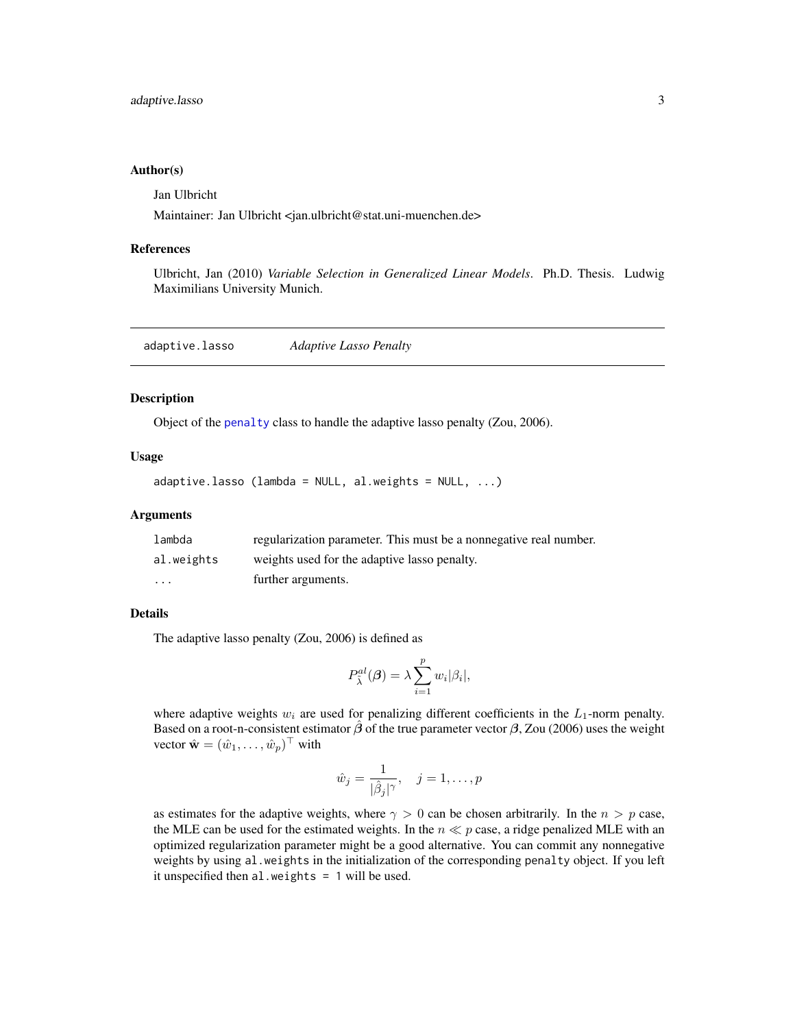#### <span id="page-2-0"></span>Author(s)

Jan Ulbricht

Maintainer: Jan Ulbricht <jan.ulbricht@stat.uni-muenchen.de>

### References

Ulbricht, Jan (2010) *Variable Selection in Generalized Linear Models*. Ph.D. Thesis. Ludwig Maximilians University Munich.

adaptive.lasso *Adaptive Lasso Penalty*

# Description

Object of the [penalty](#page-31-1) class to handle the adaptive lasso penalty (Zou, 2006).

# Usage

adaptive.lasso (lambda =  $NULL$ , al.weights =  $NULL$ , ...)

#### Arguments

| lambda                  | regularization parameter. This must be a nonnegative real number. |
|-------------------------|-------------------------------------------------------------------|
| al.weights              | weights used for the adaptive lasso penalty.                      |
| $\cdot$ $\cdot$ $\cdot$ | further arguments.                                                |

# Details

The adaptive lasso penalty (Zou, 2006) is defined as

$$
P_{\tilde{\lambda}}^{al}(\boldsymbol{\beta}) = \lambda \sum_{i=1}^{p} w_i |\beta_i|,
$$

where adaptive weights  $w_i$  are used for penalizing different coefficients in the  $L_1$ -norm penalty. Based on a root-n-consistent estimator  $\hat{\beta}$  of the true parameter vector  $\beta$ , Zou (2006) uses the weight vector  $\hat{\mathbf{w}} = (\hat{w}_1, \dots, \hat{w}_p)^\top$  with

$$
\hat{w}_j = \frac{1}{|\hat{\beta}_j|^{\gamma}}, \quad j = 1, \dots, p
$$

as estimates for the adaptive weights, where  $\gamma > 0$  can be chosen arbitrarily. In the  $n > p$  case, the MLE can be used for the estimated weights. In the  $n \ll p$  case, a ridge penalized MLE with an optimized regularization parameter might be a good alternative. You can commit any nonnegative weights by using al.weights in the initialization of the corresponding penalty object. If you left it unspecified then al.weights = 1 will be used.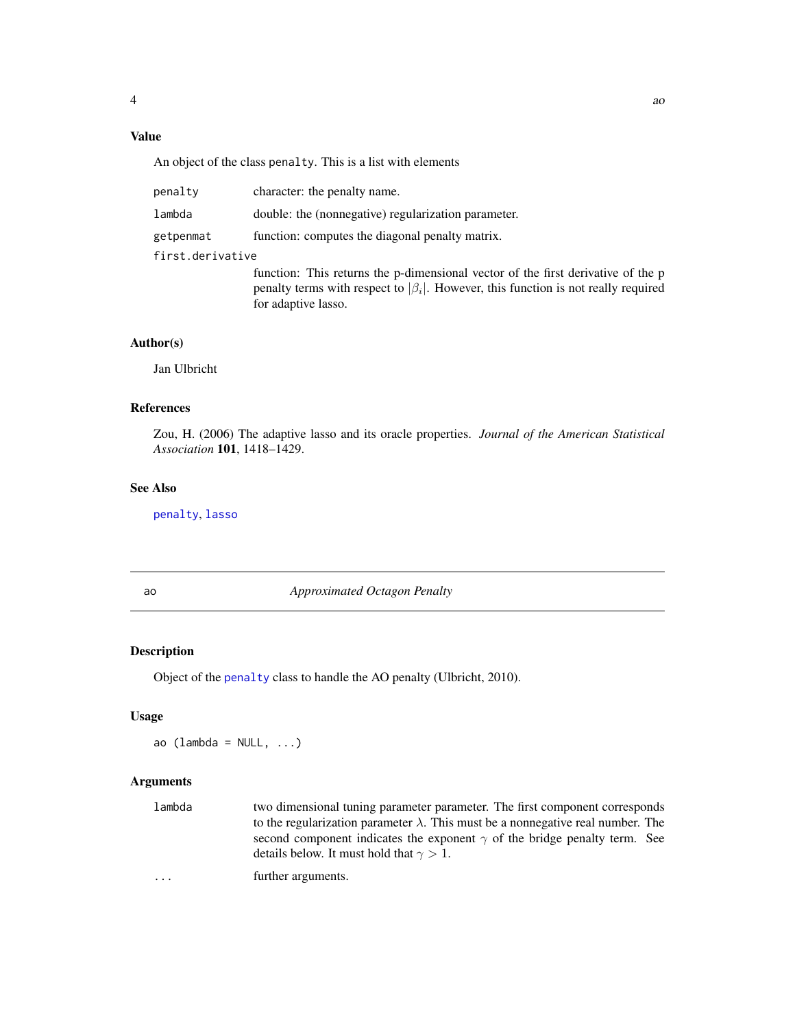# <span id="page-3-0"></span>Value

An object of the class penalty. This is a list with elements

| penalty          | character: the penalty name.                                                                                                                                                                         |
|------------------|------------------------------------------------------------------------------------------------------------------------------------------------------------------------------------------------------|
| lambda           | double: the (nonnegative) regularization parameter.                                                                                                                                                  |
| getpenmat        | function: computes the diagonal penalty matrix.                                                                                                                                                      |
| first.derivative |                                                                                                                                                                                                      |
|                  | function: This returns the p-dimensional vector of the first derivative of the p<br>penalty terms with respect to $ \beta_i $ . However, this function is not really required<br>for adaptive lasso. |

# Author(s)

Jan Ulbricht

# References

Zou, H. (2006) The adaptive lasso and its oracle properties. *Journal of the American Statistical Association* 101, 1418–1429.

# See Also

[penalty](#page-31-1), [lasso](#page-21-1)

<span id="page-3-1"></span>ao *Approximated Octagon Penalty*

# Description

Object of the [penalty](#page-31-1) class to handle the AO penalty (Ulbricht, 2010).

# Usage

ao (lambda =  $NULL, ...)$ 

| lambda | two dimensional tuning parameter parameter. The first component corresponds                                                         |
|--------|-------------------------------------------------------------------------------------------------------------------------------------|
|        | to the regularization parameter $\lambda$ . This must be a nonnegative real number. The                                             |
|        | second component indicates the exponent $\gamma$ of the bridge penalty term. See<br>details below. It must hold that $\gamma > 1$ . |
| .      | further arguments.                                                                                                                  |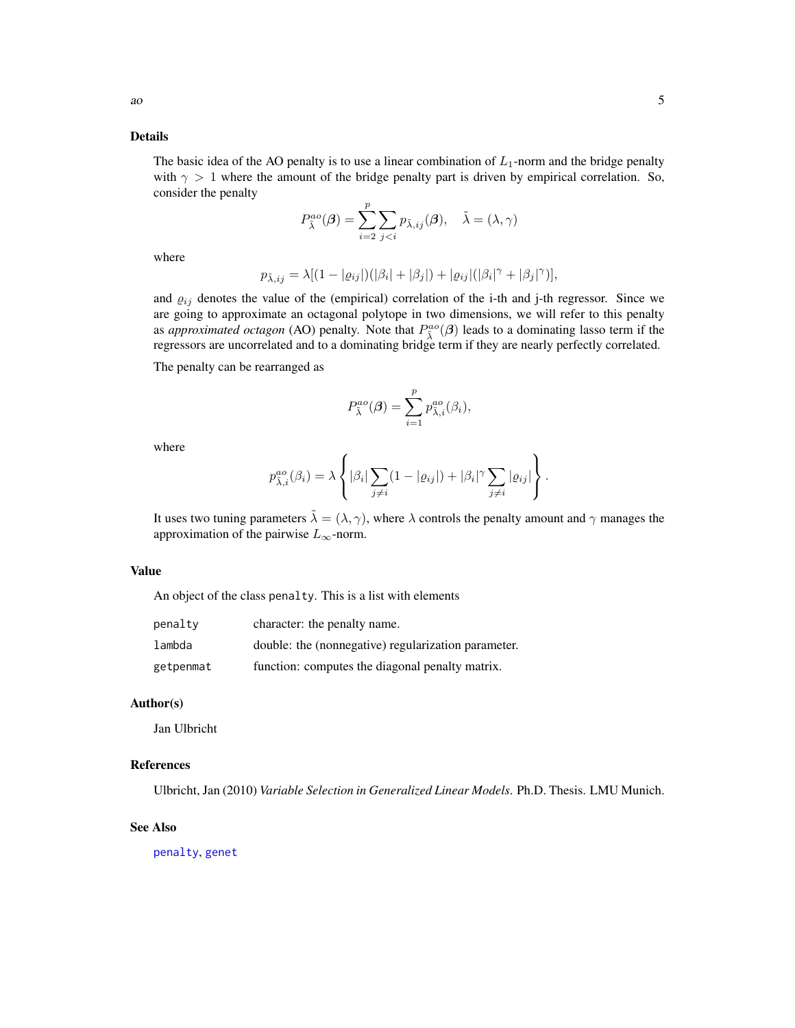<span id="page-4-0"></span>The basic idea of the AO penalty is to use a linear combination of  $L_1$ -norm and the bridge penalty with  $\gamma > 1$  where the amount of the bridge penalty part is driven by empirical correlation. So, consider the penalty

$$
P_{\tilde{\lambda}}^{ao}(\boldsymbol{\beta}) = \sum_{i=2}^{p} \sum_{j
$$

where

$$
p_{\tilde{\lambda},ij} = \lambda \left[ (1 - |\varrho_{ij}|)(|\beta_i| + |\beta_j|) + |\varrho_{ij}|(|\beta_i|^\gamma + |\beta_j|^\gamma) \right],
$$

and  $\varrho_{ij}$  denotes the value of the (empirical) correlation of the i-th and j-th regressor. Since we are going to approximate an octagonal polytope in two dimensions, we will refer to this penalty as *approximated octagon* (AO) penalty. Note that  $P_{\tilde{\lambda}}^{ao}(\beta)$  leads to a dominating lasso term if the regressors are uncorrelated and to a dominating bridge term if they are nearly perfectly correlated.

The penalty can be rearranged as

$$
P_{\tilde{\lambda}}^{ao}(\boldsymbol{\beta}) = \sum_{i=1}^{p} p_{\tilde{\lambda},i}^{ao}(\beta_i),
$$

where

$$
p_{\tilde{\lambda},i}^{ao}(\beta_i) = \lambda \left\{ |\beta_i| \sum_{j \neq i} (1 - |\varrho_{ij}|) + |\beta_i|^\gamma \sum_{j \neq i} |\varrho_{ij}| \right\}.
$$

It uses two tuning parameters  $\tilde{\lambda} = (\lambda, \gamma)$ , where  $\lambda$  controls the penalty amount and  $\gamma$  manages the approximation of the pairwise  $L_{\infty}$ -norm.

#### Value

An object of the class penalty. This is a list with elements

| penalty   | character: the penalty name.                        |
|-----------|-----------------------------------------------------|
| lambda    | double: the (nonnegative) regularization parameter. |
| getpenmat | function: computes the diagonal penalty matrix.     |

#### Author(s)

Jan Ulbricht

#### References

Ulbricht, Jan (2010) *Variable Selection in Generalized Linear Models*. Ph.D. Thesis. LMU Munich.

# See Also

[penalty](#page-31-1), [genet](#page-18-1)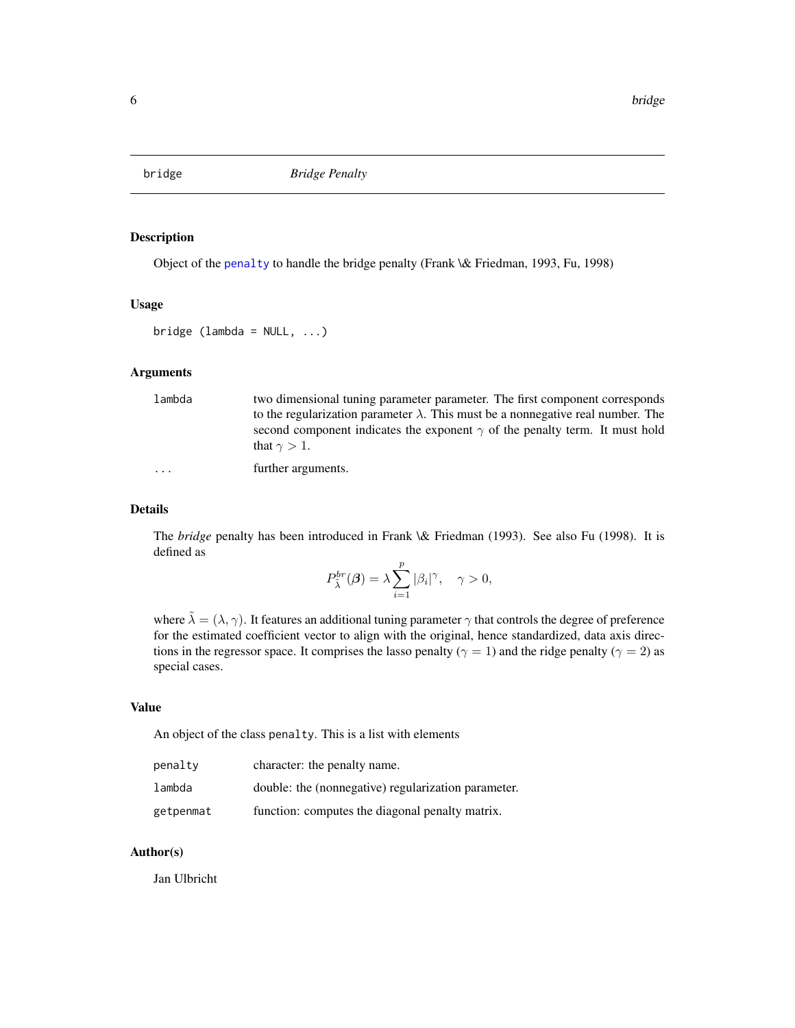<span id="page-5-0"></span>

# Description

Object of the [penalty](#page-31-1) to handle the bridge penalty (Frank \& Friedman, 1993, Fu, 1998)

#### Usage

bridge (lambda =  $NULL, ...)$ 

# Arguments

| lambda                  | two dimensional tuning parameter parameter. The first component corresponds             |
|-------------------------|-----------------------------------------------------------------------------------------|
|                         | to the regularization parameter $\lambda$ . This must be a nonnegative real number. The |
|                         | second component indicates the exponent $\gamma$ of the penalty term. It must hold      |
|                         | that $\gamma > 1$ .                                                                     |
| $\cdot$ $\cdot$ $\cdot$ | further arguments.                                                                      |

#### Details

The *bridge* penalty has been introduced in Frank \& Friedman (1993). See also Fu (1998). It is defined as

$$
P_{\tilde{\lambda}}^{br}(\boldsymbol{\beta}) = \lambda \sum_{i=1}^{p} |\beta_i|^{\gamma}, \quad \gamma > 0,
$$

where  $\tilde{\lambda} = (\lambda, \gamma)$ . It features an additional tuning parameter  $\gamma$  that controls the degree of preference for the estimated coefficient vector to align with the original, hence standardized, data axis directions in the regressor space. It comprises the lasso penalty ( $\gamma = 1$ ) and the ridge penalty ( $\gamma = 2$ ) as special cases.

# Value

An object of the class penalty. This is a list with elements

| penalty   | character: the penalty name.                        |
|-----------|-----------------------------------------------------|
| lambda    | double: the (nonnegative) regularization parameter. |
| getpenmat | function: computes the diagonal penalty matrix.     |

#### Author(s)

Jan Ulbricht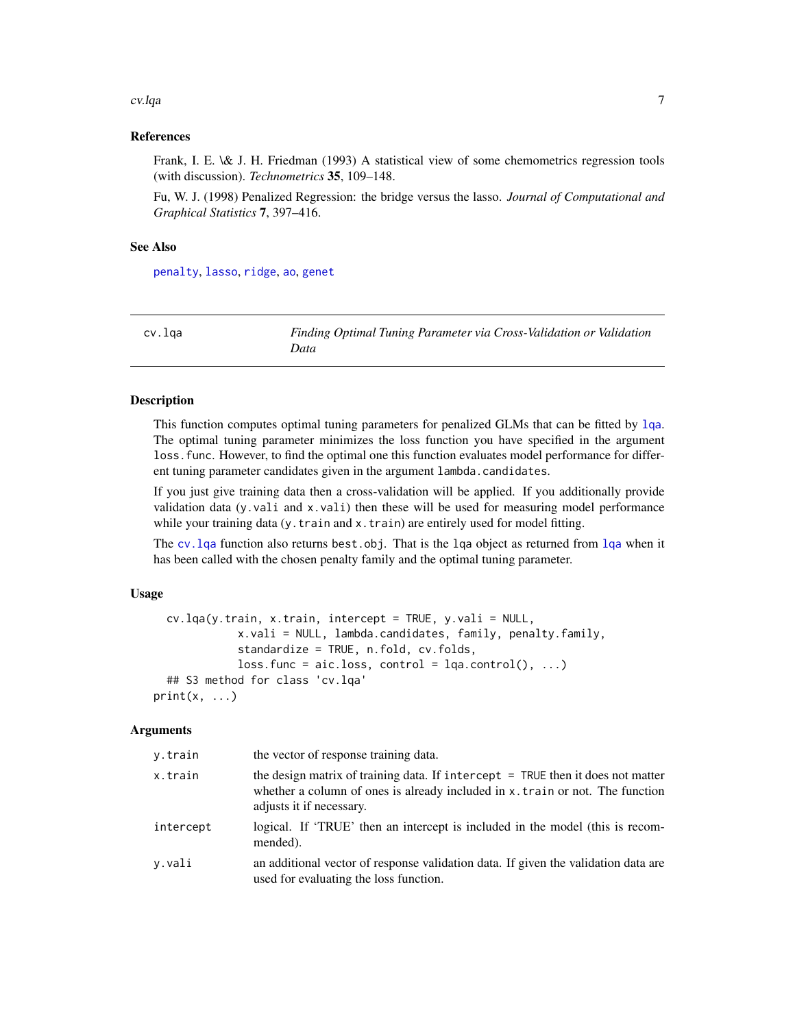#### <span id="page-6-0"></span>cv.lqa *7*

# References

Frank, I. E. \& J. H. Friedman (1993) A statistical view of some chemometrics regression tools (with discussion). *Technometrics* 35, 109–148.

Fu, W. J. (1998) Penalized Regression: the bridge versus the lasso. *Journal of Computational and Graphical Statistics* 7, 397–416.

# See Also

[penalty](#page-31-1), [lasso](#page-21-1), [ridge](#page-36-1), [ao](#page-3-1), [genet](#page-18-1)

<span id="page-6-1"></span>

| cv.lga | Finding Optimal Tuning Parameter via Cross-Validation or Validation |
|--------|---------------------------------------------------------------------|
|        | Data                                                                |

#### Description

This function computes optimal tuning parameters for penalized GLMs that can be fitted by [lqa](#page-23-1). The optimal tuning parameter minimizes the loss function you have specified in the argument loss.func. However, to find the optimal one this function evaluates model performance for different tuning parameter candidates given in the argument lambda.candidates.

If you just give training data then a cross-validation will be applied. If you additionally provide validation data (y.vali and x.vali) then these will be used for measuring model performance while your training data  $(y \text{.train and } x \text{.train})$  are entirely used for model fitting.

The [cv.lqa](#page-6-1) function also returns best.obj. That is the lqa object as returned from [lqa](#page-23-1) when it has been called with the chosen penalty family and the optimal tuning parameter.

#### Usage

```
cv.lqa(y.train, x.train, intercept = TRUE, y.vali = NULL,
             x.vali = NULL, lambda.candidates, family, penalty.family,
             standardize = TRUE, n.fold, cv.folds,
             loss. func = aic. loss, control = lqa.control(), ...)
  ## S3 method for class 'cv.lqa'
print(x, \ldots)
```

| y.train   | the vector of response training data.                                                                                                                                                          |
|-----------|------------------------------------------------------------------------------------------------------------------------------------------------------------------------------------------------|
| x.train   | the design matrix of training data. If intercept $=$ TRUE then it does not matter<br>whether a column of ones is already included in x. train or not. The function<br>adjusts it if necessary. |
| intercept | logical. If 'TRUE' then an intercept is included in the model (this is recom-<br>mended).                                                                                                      |
| v.vali    | an additional vector of response validation data. If given the validation data are<br>used for evaluating the loss function.                                                                   |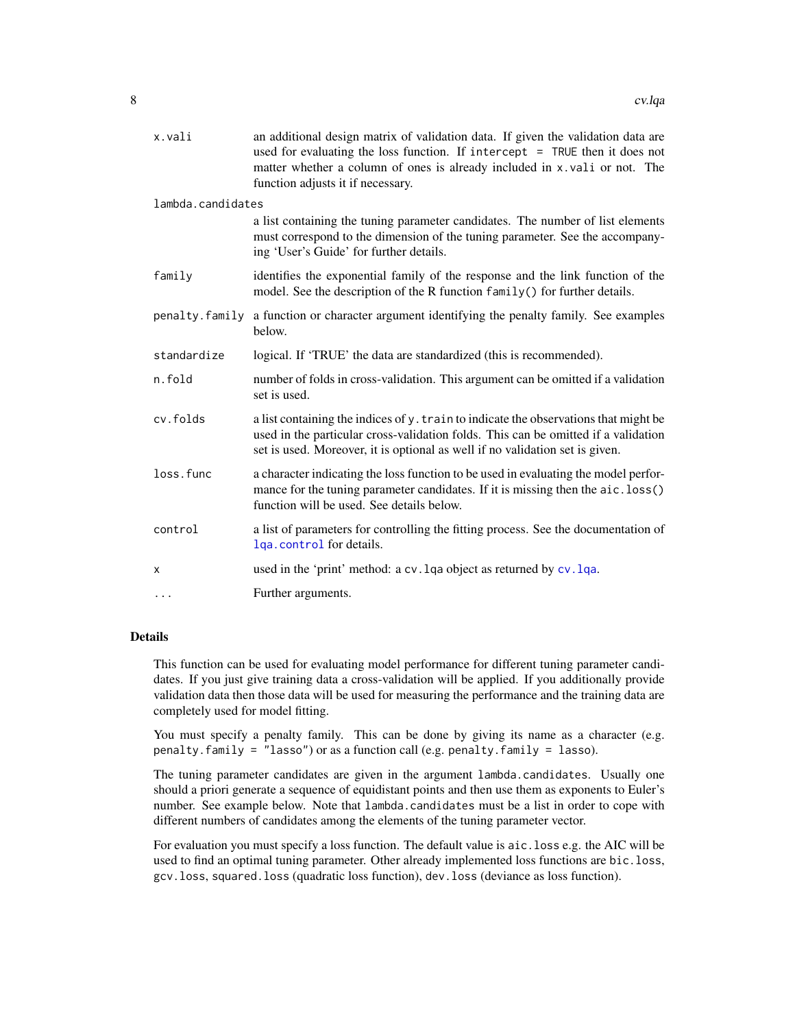<span id="page-7-0"></span>

| x.vali            | an additional design matrix of validation data. If given the validation data are<br>used for evaluating the loss function. If intercept $=$ TRUE then it does not<br>matter whether a column of ones is already included in x.vali or not. The<br>function adjusts it if necessary. |
|-------------------|-------------------------------------------------------------------------------------------------------------------------------------------------------------------------------------------------------------------------------------------------------------------------------------|
| lambda.candidates |                                                                                                                                                                                                                                                                                     |
|                   | a list containing the tuning parameter candidates. The number of list elements<br>must correspond to the dimension of the tuning parameter. See the accompany-<br>ing 'User's Guide' for further details.                                                                           |
| family            | identifies the exponential family of the response and the link function of the<br>model. See the description of the R function family() for further details.                                                                                                                        |
| penalty.family    | a function or character argument identifying the penalty family. See examples<br>below.                                                                                                                                                                                             |
| standardize       | logical. If 'TRUE' the data are standardized (this is recommended).                                                                                                                                                                                                                 |
| n.fold            | number of folds in cross-validation. This argument can be omitted if a validation<br>set is used.                                                                                                                                                                                   |
| cv.folds          | a list containing the indices of y. train to indicate the observations that might be<br>used in the particular cross-validation folds. This can be omitted if a validation<br>set is used. Moreover, it is optional as well if no validation set is given.                          |
| loss.func         | a character indicating the loss function to be used in evaluating the model perfor-<br>mance for the tuning parameter candidates. If it is missing then the aic. loss()<br>function will be used. See details below.                                                                |
| control           | a list of parameters for controlling the fitting process. See the documentation of<br>lga.control for details.                                                                                                                                                                      |
| X                 | used in the 'print' method: a cv. 1qa object as returned by cv. 1qa.                                                                                                                                                                                                                |
| $\cdots$          | Further arguments.                                                                                                                                                                                                                                                                  |

This function can be used for evaluating model performance for different tuning parameter candidates. If you just give training data a cross-validation will be applied. If you additionally provide validation data then those data will be used for measuring the performance and the training data are completely used for model fitting.

You must specify a penalty family. This can be done by giving its name as a character (e.g. penalty.family = "lasso") or as a function call (e.g. penalty.family = lasso).

The tuning parameter candidates are given in the argument lambda.candidates. Usually one should a priori generate a sequence of equidistant points and then use them as exponents to Euler's number. See example below. Note that lambda.candidates must be a list in order to cope with different numbers of candidates among the elements of the tuning parameter vector.

For evaluation you must specify a loss function. The default value is aic.loss e.g. the AIC will be used to find an optimal tuning parameter. Other already implemented loss functions are bic.loss, gcv.loss, squared.loss (quadratic loss function), dev.loss (deviance as loss function).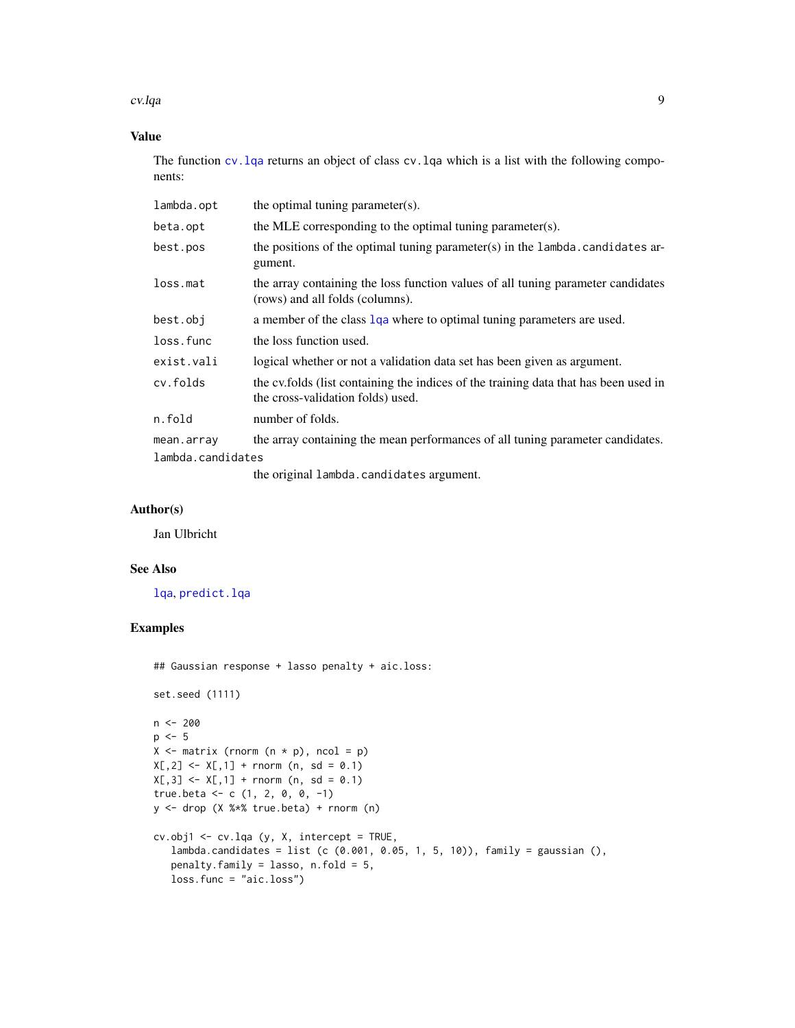<span id="page-8-0"></span>cv.lqa **9** 

# Value

The function [cv.lqa](#page-6-1) returns an object of class cv.lqa which is a list with the following components:

| lambda.opt        | the optimal tuning parameter(s).                                                                                          |  |
|-------------------|---------------------------------------------------------------------------------------------------------------------------|--|
| beta.opt          | the MLE corresponding to the optimal tuning parameter(s).                                                                 |  |
| best.pos          | the positions of the optimal tuning parameter(s) in the lambda.candidates ar-<br>gument.                                  |  |
| loss.mat          | the array containing the loss function values of all tuning parameter candidates<br>(rows) and all folds (columns).       |  |
| best.obj          | a member of the class 1qa where to optimal tuning parameters are used.                                                    |  |
| loss.func         | the loss function used.                                                                                                   |  |
| exist.vali        | logical whether or not a validation data set has been given as argument.                                                  |  |
| cv.folds          | the cyrfolds (list containing the indices of the training data that has been used in<br>the cross-validation folds) used. |  |
| n.fold            | number of folds.                                                                                                          |  |
| mean.array        | the array containing the mean performances of all tuning parameter candidates.                                            |  |
| lambda.candidates |                                                                                                                           |  |
|                   |                                                                                                                           |  |

the original lambda.candidates argument.

# Author(s)

Jan Ulbricht

#### See Also

[lqa](#page-23-1), [predict.lqa](#page-35-1)

# Examples

```
## Gaussian response + lasso penalty + aic.loss:
set.seed (1111)
n <- 200
p \le -5X \le - matrix (rnorm (n * p), ncol = p)
X[, 2] <- X[, 1] + rnorm (n, sd = 0.1)
X[, 3] \leftarrow X[, 1] + \text{norm} (\text{n}, \text{sd} = 0.1)true.beta <- c (1, 2, 0, 0, -1)y <- drop (X %*% true.beta) + rnorm (n)
cv.obj1 <- cv.lqa (y, X, intercept = TRUE,
   lambda.candidates = list (c (0.001, 0.05, 1, 5, 10)), family = gaussian (),
   penalty.family = lasso, n.fold = 5,
   loss.func = "aic.loss")
```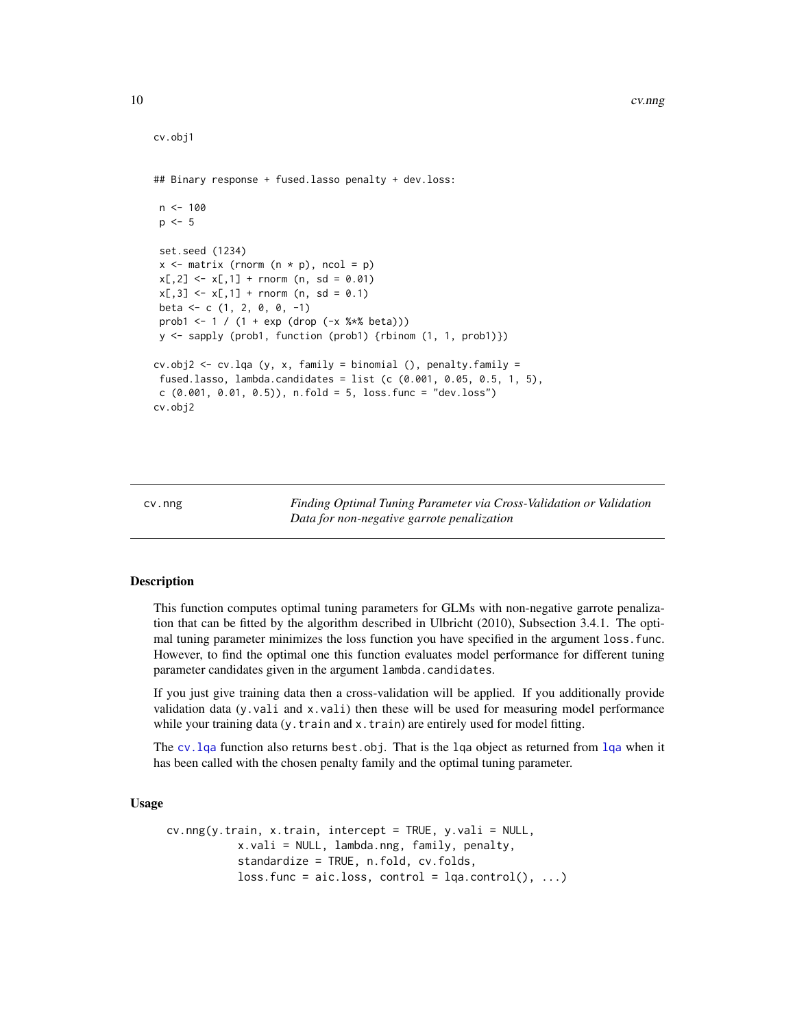```
cv.obj1
## Binary response + fused.lasso penalty + dev.loss:
 n < - 100p \le -5set.seed (1234)
 x \le matrix (rnorm (n * p), ncol = p)
 x[, 2] <- x[, 1] + rnorm (n, sd = 0.01)
 x[, 3] <- x[, 1] + rnorm (n, sd = 0.1)
 beta \leq c (1, 2, 0, 0, -1)
 prob1 <- 1 / (1 + \exp (\text{drop } (-x \frac{2 \times x}{3})))y <- sapply (prob1, function (prob1) {rbinom (1, 1, prob1)})
cv.obj2 <- cv.lqa (y, x, family = binomial (), penalty.family =
 fused.lasso, lambda.candidates = list (c (0.001, 0.05, 0.5, 1, 5),
c (0.001, 0.01, 0.5)), n.fold = 5, loss.func = "dev.loss")
cv.obj2
```
<span id="page-9-1"></span>cv.nng *Finding Optimal Tuning Parameter via Cross-Validation or Validation Data for non-negative garrote penalization*

#### Description

This function computes optimal tuning parameters for GLMs with non-negative garrote penalization that can be fitted by the algorithm described in Ulbricht (2010), Subsection 3.4.1. The optimal tuning parameter minimizes the loss function you have specified in the argument loss. func. However, to find the optimal one this function evaluates model performance for different tuning parameter candidates given in the argument lambda.candidates.

If you just give training data then a cross-validation will be applied. If you additionally provide validation data (y. vali and x. vali) then these will be used for measuring model performance while your training data (y.train and x.train) are entirely used for model fitting.

The [cv.lqa](#page-6-1) function also returns best.obj. That is the lqa object as returned from [lqa](#page-23-1) when it has been called with the chosen penalty family and the optimal tuning parameter.

#### Usage

```
cv.nng(y.train, x.train, intercept = TRUE, y.vali = NULL,
           x.vali = NULL, lambda.nng, family, penalty,
           standardize = TRUE, n.fold, cv.folds,
           loss.func = aic.loss, control = lqa.control(), ...)
```
<span id="page-9-0"></span>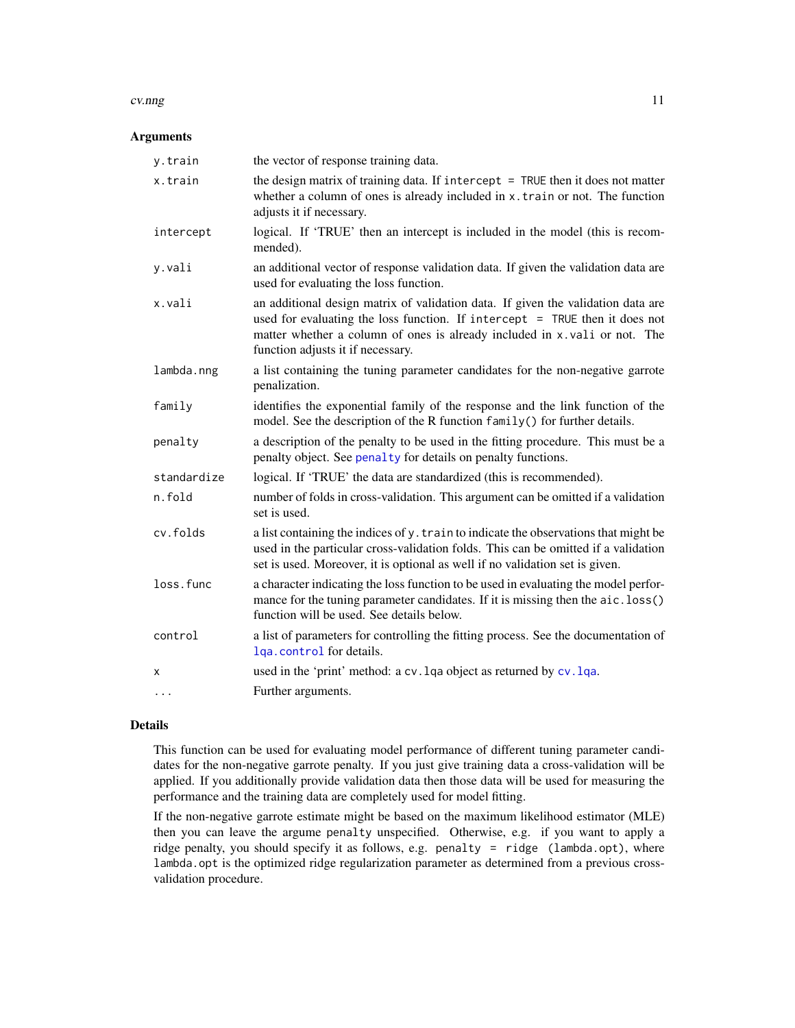#### <span id="page-10-0"></span>cv.nng and the contract of the contract of the contract of the contract of the contract of the contract of the contract of the contract of the contract of the contract of the contract of the contract of the contract of the

# Arguments

| y.train     | the vector of response training data.                                                                                                                                                                                                                                             |
|-------------|-----------------------------------------------------------------------------------------------------------------------------------------------------------------------------------------------------------------------------------------------------------------------------------|
| x.train     | the design matrix of training data. If intercept = TRUE then it does not matter<br>whether a column of ones is already included in x.train or not. The function<br>adjusts it if necessary.                                                                                       |
| intercept   | logical. If 'TRUE' then an intercept is included in the model (this is recom-<br>mended).                                                                                                                                                                                         |
| y.vali      | an additional vector of response validation data. If given the validation data are<br>used for evaluating the loss function.                                                                                                                                                      |
| x.vali      | an additional design matrix of validation data. If given the validation data are<br>used for evaluating the loss function. If intercept = TRUE then it does not<br>matter whether a column of ones is already included in x.vali or not. The<br>function adjusts it if necessary. |
| lambda.nng  | a list containing the tuning parameter candidates for the non-negative garrote<br>penalization.                                                                                                                                                                                   |
| family      | identifies the exponential family of the response and the link function of the<br>model. See the description of the R function family() for further details.                                                                                                                      |
| penalty     | a description of the penalty to be used in the fitting procedure. This must be a<br>penalty object. See penalty for details on penalty functions.                                                                                                                                 |
| standardize | logical. If 'TRUE' the data are standardized (this is recommended).                                                                                                                                                                                                               |
| n.fold      | number of folds in cross-validation. This argument can be omitted if a validation<br>set is used.                                                                                                                                                                                 |
| cv.folds    | a list containing the indices of y. train to indicate the observations that might be<br>used in the particular cross-validation folds. This can be omitted if a validation<br>set is used. Moreover, it is optional as well if no validation set is given.                        |
| loss.func   | a character indicating the loss function to be used in evaluating the model perfor-<br>mance for the tuning parameter candidates. If it is missing then the aic. loss()<br>function will be used. See details below.                                                              |
| control     | a list of parameters for controlling the fitting process. See the documentation of<br>lga.control for details.                                                                                                                                                                    |
| x           | used in the 'print' method: a cv. 1qa object as returned by cv. 1qa.                                                                                                                                                                                                              |
| $\ddots$    | Further arguments.                                                                                                                                                                                                                                                                |

# Details

This function can be used for evaluating model performance of different tuning parameter candidates for the non-negative garrote penalty. If you just give training data a cross-validation will be applied. If you additionally provide validation data then those data will be used for measuring the performance and the training data are completely used for model fitting.

If the non-negative garrote estimate might be based on the maximum likelihood estimator (MLE) then you can leave the argume penalty unspecified. Otherwise, e.g. if you want to apply a ridge penalty, you should specify it as follows, e.g. penalty = ridge (lambda.opt), where lambda.opt is the optimized ridge regularization parameter as determined from a previous crossvalidation procedure.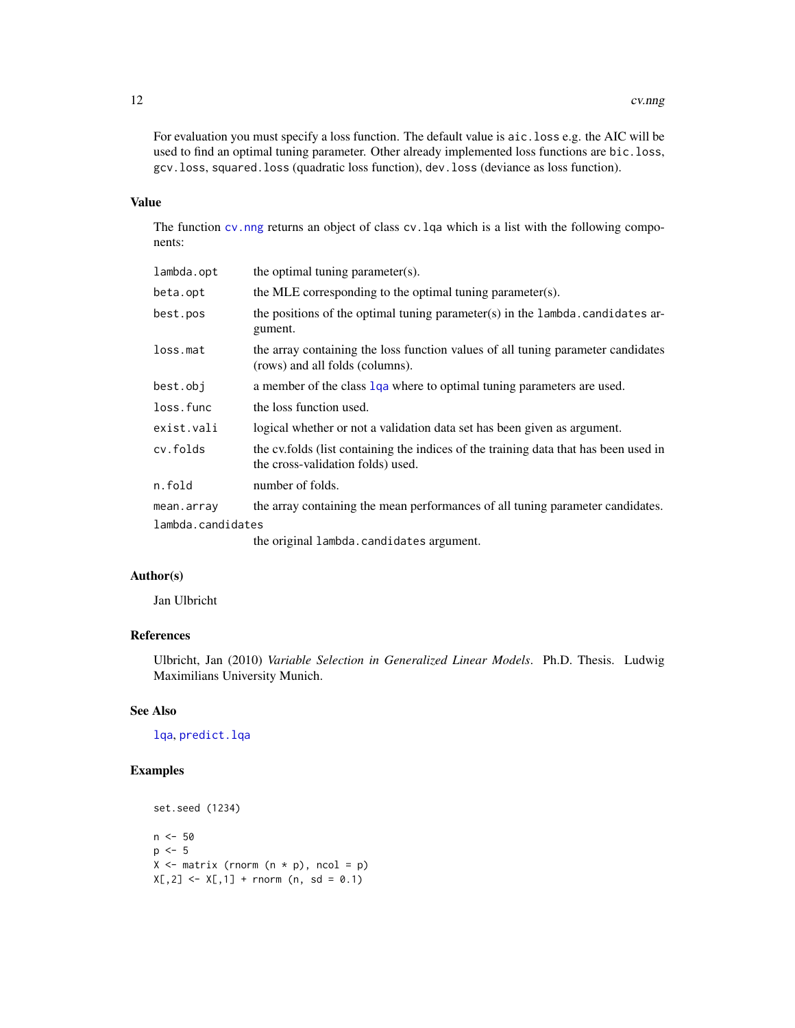<span id="page-11-0"></span>For evaluation you must specify a loss function. The default value is aic.loss e.g. the AIC will be used to find an optimal tuning parameter. Other already implemented loss functions are bic.loss, gcv.loss, squared.loss (quadratic loss function), dev.loss (deviance as loss function).

# Value

The function [cv.nng](#page-9-1) returns an object of class cv. 1qa which is a list with the following components:

| lambda.opt        | the optimal tuning parameter(s).                                                                                          |  |
|-------------------|---------------------------------------------------------------------------------------------------------------------------|--|
| beta.opt          | the MLE corresponding to the optimal tuning parameter(s).                                                                 |  |
| best.pos          | the positions of the optimal tuning parameter(s) in the lambda.candidates ar-<br>gument.                                  |  |
| loss.mat          | the array containing the loss function values of all tuning parameter candidates<br>(rows) and all folds (columns).       |  |
| best.obj          | a member of the class 1qa where to optimal tuning parameters are used.                                                    |  |
| loss.func         | the loss function used.                                                                                                   |  |
| exist.vali        | logical whether or not a validation data set has been given as argument.                                                  |  |
| cv.folds          | the cyrfolds (list containing the indices of the training data that has been used in<br>the cross-validation folds) used. |  |
| n.fold            | number of folds.                                                                                                          |  |
| mean.array        | the array containing the mean performances of all tuning parameter candidates.                                            |  |
| lambda.candidates |                                                                                                                           |  |
|                   | the original lambda.candidates argument.                                                                                  |  |

# Author(s)

Jan Ulbricht

# References

Ulbricht, Jan (2010) *Variable Selection in Generalized Linear Models*. Ph.D. Thesis. Ludwig Maximilians University Munich.

# See Also

[lqa](#page-23-1), [predict.lqa](#page-35-1)

# Examples

```
set.seed (1234)
n < -50p \le -5X \le - matrix (rnorm (n * p), ncol = p)
X[, 2] \leftarrow X[, 1] + \text{norm} (\text{n}, \text{sd} = 0.1)
```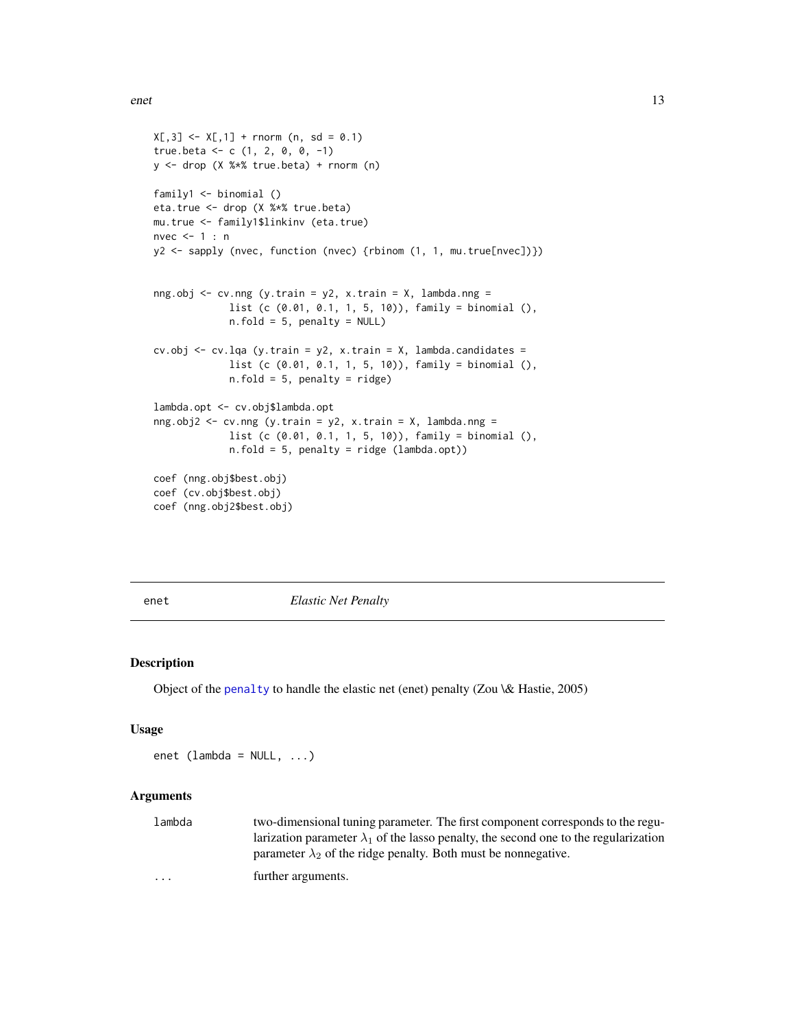```
X[, 3] \leftarrow X[, 1] + \text{norm} (n, sd = 0.1)true.beta <- c (1, 2, 0, 0, -1)y <- drop (X %*% true.beta) + rnorm (n)
family1 <- binomial ()
eta.true <- drop (X %*% true.beta)
mu.true <- family1$linkinv (eta.true)
nvec <-1 : n
y2 <- sapply (nvec, function (nvec) {rbinom (1, 1, mu.true[nvec])})
nng.obj \leq cv.nng (y.train = y2, x.train = X, lambda.nng =
             list (c (0.01, 0.1, 1, 5, 10)), family = binomial (),
             n.fold = 5, penalty = NULLcv.obj <- cv.lqa (y.train = y2, x.train = X, lambda.candidates =
             list (c (0.01, 0.1, 1, 5, 10)), family = binomial (),
             n.fold = 5, penalty = ridge)
lambda.opt <- cv.obj$lambda.opt
nng.obj2 <- cv.nng (y.train = y2, x.train = X, lambda.nng =
             list (c (0.01, 0.1, 1, 5, 10)), family = binomial (),
             n.fold = 5, penalty = ridge (lambda.opt))
coef (nng.obj$best.obj)
coef (cv.obj$best.obj)
coef (nng.obj2$best.obj)
```
enet *Elastic Net Penalty*

# Description

Object of the [penalty](#page-31-1) to handle the elastic net (enet) penalty (Zou \& Hastie, 2005)

#### Usage

enet (lambda =  $NULL, ...)$ 

| lambda                  | two-dimensional tuning parameter. The first component corresponds to the regu-              |  |
|-------------------------|---------------------------------------------------------------------------------------------|--|
|                         | larization parameter $\lambda_1$ of the lasso penalty, the second one to the regularization |  |
|                         | parameter $\lambda_2$ of the ridge penalty. Both must be nonnegative.                       |  |
| $\cdot$ $\cdot$ $\cdot$ | further arguments.                                                                          |  |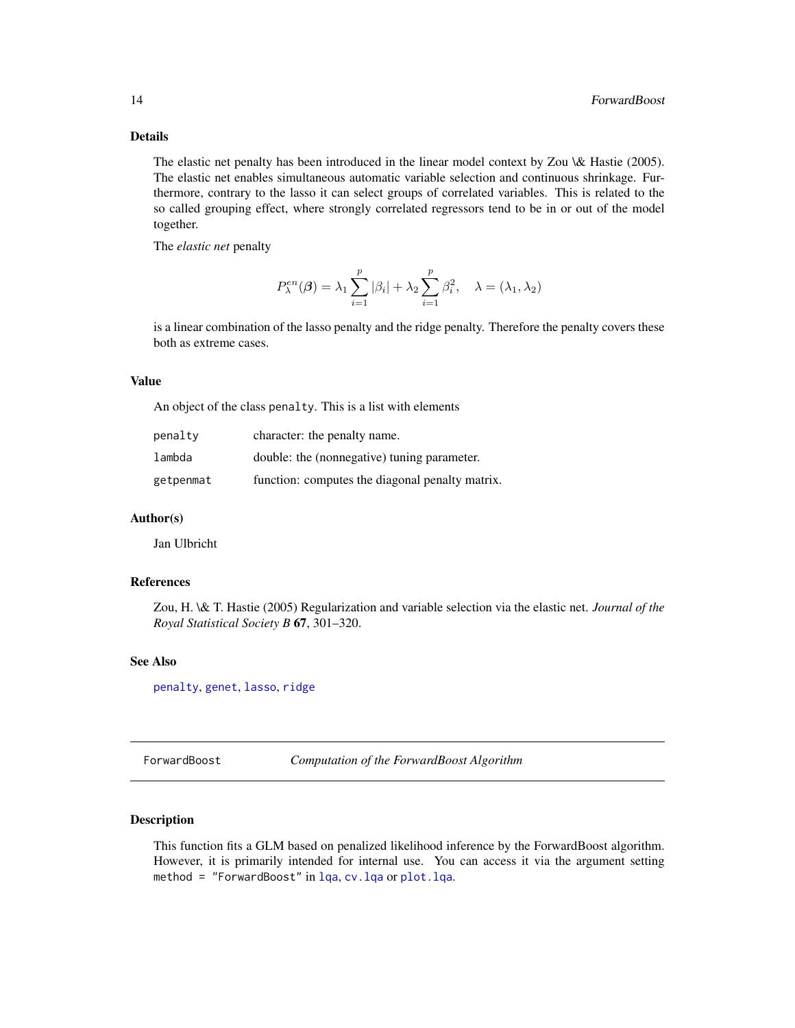<span id="page-13-0"></span>The elastic net penalty has been introduced in the linear model context by Zou \& Hastie (2005). The elastic net enables simultaneous automatic variable selection and continuous shrinkage. Furthermore, contrary to the lasso it can select groups of correlated variables. This is related to the so called grouping effect, where strongly correlated regressors tend to be in or out of the model together.

The *elastic net* penalty

$$
P_{\lambda}^{en}(\boldsymbol{\beta}) = \lambda_1 \sum_{i=1}^{p} |\beta_i| + \lambda_2 \sum_{i=1}^{p} \beta_i^2, \quad \lambda = (\lambda_1, \lambda_2)
$$

is a linear combination of the lasso penalty and the ridge penalty. Therefore the penalty covers these both as extreme cases.

#### Value

An object of the class penalty. This is a list with elements

| penalty   | character: the penalty name.                    |
|-----------|-------------------------------------------------|
| lambda    | double: the (nonnegative) tuning parameter.     |
| getpenmat | function: computes the diagonal penalty matrix. |

#### Author(s)

Jan Ulbricht

#### References

Zou, H. \& T. Hastie (2005) Regularization and variable selection via the elastic net. *Journal of the Royal Statistical Society B* 67, 301–320.

#### See Also

[penalty](#page-31-1), [genet](#page-18-1), [lasso](#page-21-1), [ridge](#page-36-1)

<span id="page-13-1"></span>ForwardBoost *Computation of the ForwardBoost Algorithm*

# Description

This function fits a GLM based on penalized likelihood inference by the ForwardBoost algorithm. However, it is primarily intended for internal use. You can access it via the argument setting method = "ForwardBoost" in [lqa](#page-23-1), [cv.lqa](#page-6-1) or [plot.lqa](#page-33-1).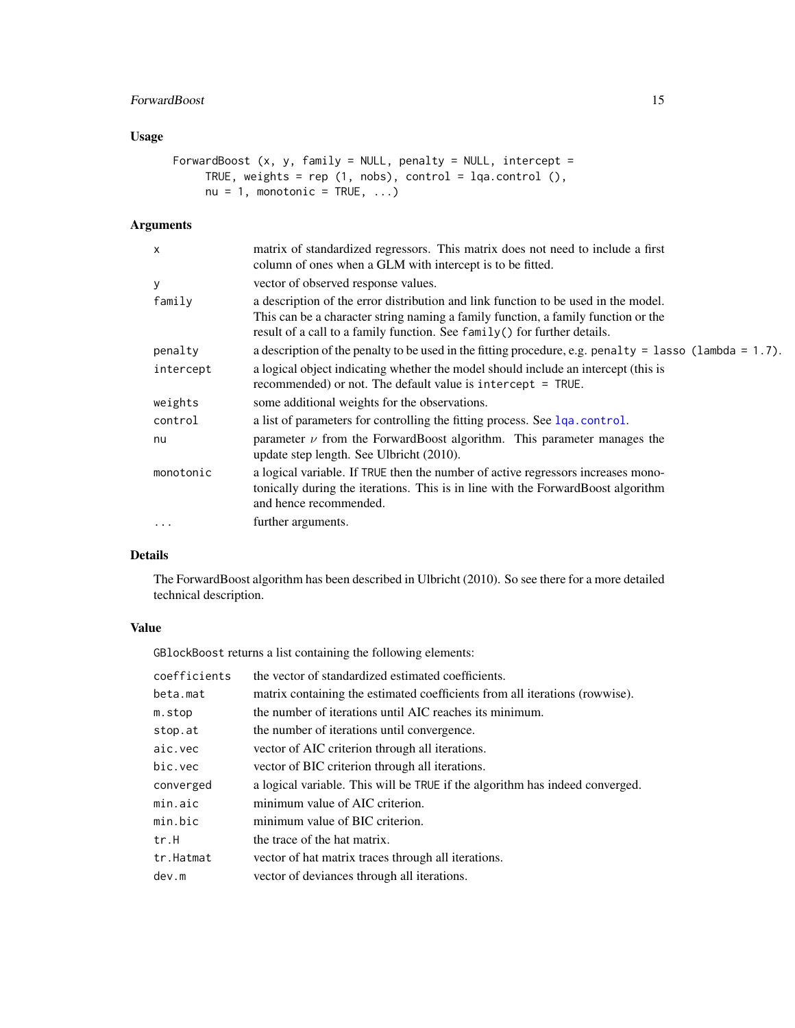# <span id="page-14-0"></span>ForwardBoost 15

# Usage

```
ForwardBoost (x, y, family = NULL, penalty = NULL, intercept =
    TRUE, weights = rep (1, nobs), control = lqa.control (),nu = 1, monotonic = TRUE, ...)
```
# Arguments

| X         | matrix of standardized regressors. This matrix does not need to include a first<br>column of ones when a GLM with intercept is to be fitted.                                                                                                         |  |
|-----------|------------------------------------------------------------------------------------------------------------------------------------------------------------------------------------------------------------------------------------------------------|--|
| У         | vector of observed response values.                                                                                                                                                                                                                  |  |
| family    | a description of the error distribution and link function to be used in the model.<br>This can be a character string naming a family function, a family function or the<br>result of a call to a family function. See family () for further details. |  |
| penalty   | a description of the penalty to be used in the fitting procedure, e.g. penalty = lasso (lambda = $1.7$ ).                                                                                                                                            |  |
| intercept | a logical object indicating whether the model should include an intercept (this is<br>recommended) or not. The default value is intercept $=$ TRUE.                                                                                                  |  |
| weights   | some additional weights for the observations.                                                                                                                                                                                                        |  |
| control   | a list of parameters for controlling the fitting process. See lqa.control.                                                                                                                                                                           |  |
| nu        | parameter $\nu$ from the ForwardBoost algorithm. This parameter manages the<br>update step length. See Ulbricht (2010).                                                                                                                              |  |
| monotonic | a logical variable. If TRUE then the number of active regressors increases mono-<br>tonically during the iterations. This is in line with the ForwardBoost algorithm<br>and hence recommended.                                                       |  |
| .         | further arguments.                                                                                                                                                                                                                                   |  |

# Details

The ForwardBoost algorithm has been described in Ulbricht (2010). So see there for a more detailed technical description.

# Value

GBlockBoost returns a list containing the following elements:

| coefficients | the vector of standardized estimated coefficients.                           |
|--------------|------------------------------------------------------------------------------|
| beta.mat     | matrix containing the estimated coefficients from all iterations (rowwise).  |
| m.stop       | the number of iterations until AIC reaches its minimum.                      |
| stop.at      | the number of iterations until convergence.                                  |
| aic.vec      | vector of AIC criterion through all iterations.                              |
| bic.vec      | vector of BIC criterion through all iterations.                              |
| converged    | a logical variable. This will be TRUE if the algorithm has indeed converged. |
| min.aic      | minimum value of AIC criterion.                                              |
| min.bic      | minimum value of BIC criterion.                                              |
| tr.H         | the trace of the hat matrix.                                                 |
| tr.Hatmat    | vector of hat matrix traces through all iterations.                          |
| dev.m        | vector of deviances through all iterations.                                  |
|              |                                                                              |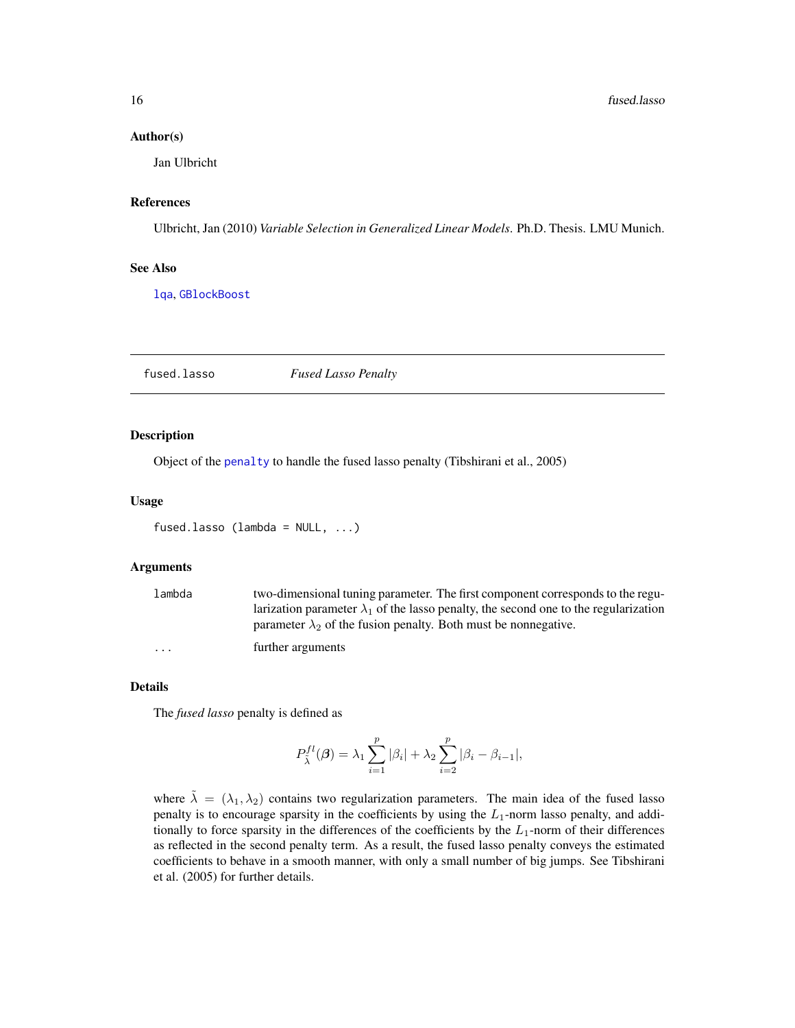#### Author(s)

Jan Ulbricht

## References

Ulbricht, Jan (2010) *Variable Selection in Generalized Linear Models*. Ph.D. Thesis. LMU Munich.

# See Also

[lqa](#page-23-1), [GBlockBoost](#page-16-1)

<span id="page-15-1"></span>fused.lasso *Fused Lasso Penalty*

# Description

Object of the [penalty](#page-31-1) to handle the fused lasso penalty (Tibshirani et al., 2005)

# Usage

fused.lasso (lambda = NULL, ...)

#### Arguments

| lambda               | two-dimensional tuning parameter. The first component corresponds to the regu-              |  |
|----------------------|---------------------------------------------------------------------------------------------|--|
|                      | larization parameter $\lambda_1$ of the lasso penalty, the second one to the regularization |  |
|                      | parameter $\lambda_2$ of the fusion penalty. Both must be nonnegative.                      |  |
| $\ddot{\phantom{0}}$ | further arguments                                                                           |  |

#### Details

The *fused lasso* penalty is defined as

$$
P_{\tilde{\lambda}}^{fl}(\boldsymbol{\beta}) = \lambda_1 \sum_{i=1}^{p} |\beta_i| + \lambda_2 \sum_{i=2}^{p} |\beta_i - \beta_{i-1}|,
$$

where  $\tilde{\lambda} = (\lambda_1, \lambda_2)$  contains two regularization parameters. The main idea of the fused lasso penalty is to encourage sparsity in the coefficients by using the  $L_1$ -norm lasso penalty, and additionally to force sparsity in the differences of the coefficients by the  $L_1$ -norm of their differences as reflected in the second penalty term. As a result, the fused lasso penalty conveys the estimated coefficients to behave in a smooth manner, with only a small number of big jumps. See Tibshirani et al. (2005) for further details.

<span id="page-15-0"></span>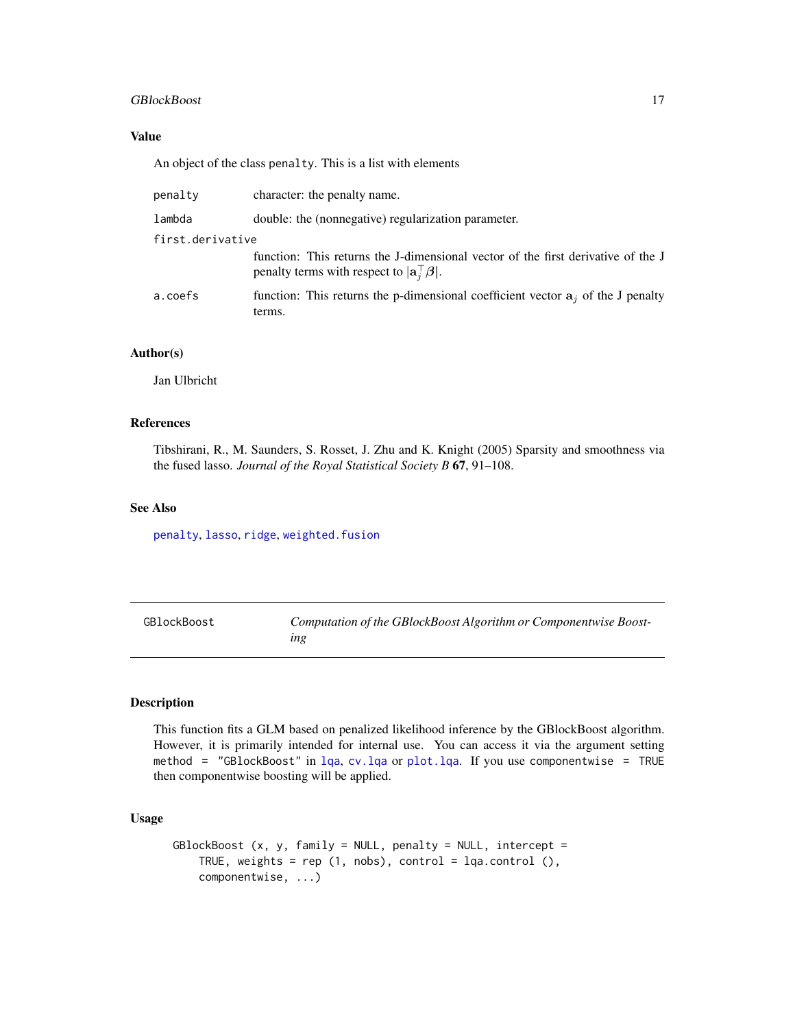# <span id="page-16-0"></span>GBlockBoost 17

# Value

An object of the class penalty. This is a list with elements

| penalty          | character: the penalty name.                                                                                                                                   |  |
|------------------|----------------------------------------------------------------------------------------------------------------------------------------------------------------|--|
| lambda           | double: the (nonnegative) regularization parameter.                                                                                                            |  |
| first.derivative |                                                                                                                                                                |  |
|                  | function: This returns the J-dimensional vector of the first derivative of the J<br>penalty terms with respect to $ \mathbf{a}_i^{\top} \boldsymbol{\beta} $ . |  |
| a.coefs          | function: This returns the p-dimensional coefficient vector $a_i$ of the J penalty<br>terms.                                                                   |  |

#### Author(s)

Jan Ulbricht

# References

Tibshirani, R., M. Saunders, S. Rosset, J. Zhu and K. Knight (2005) Sparsity and smoothness via the fused lasso. *Journal of the Royal Statistical Society B* 67, 91–108.

# See Also

[penalty](#page-31-1), [lasso](#page-21-1), [ridge](#page-36-1), [weighted.fusion](#page-39-1)

<span id="page-16-1"></span>GBlockBoost *Computation of the GBlockBoost Algorithm or Componentwise Boosting*

#### Description

This function fits a GLM based on penalized likelihood inference by the GBlockBoost algorithm. However, it is primarily intended for internal use. You can access it via the argument setting method = "GBlockBoost" in [lqa](#page-23-1), [cv.lqa](#page-6-1) or [plot.lqa](#page-33-1). If you use componentwise = TRUE then componentwise boosting will be applied.

#### Usage

```
GBlockBoost (x, y, family = NULL, penalty = NULL, intercept =
    TRUE, weights = rep (1, \text{nobs}), control = lqa.control (),componentwise, ...)
```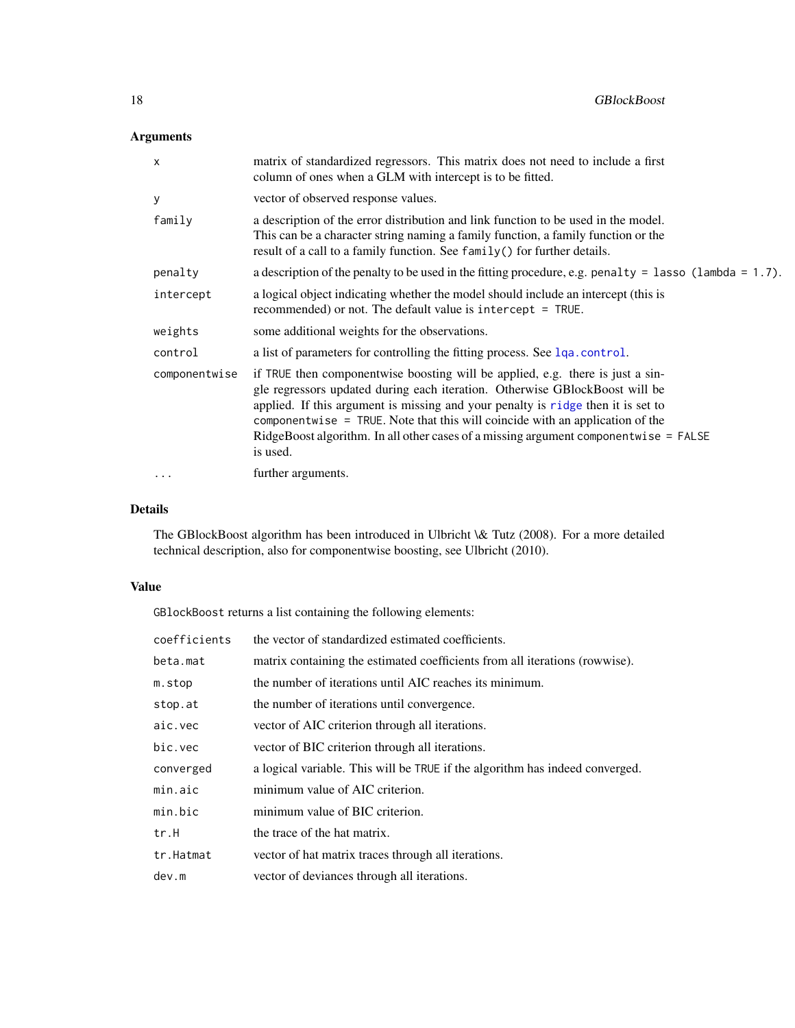# <span id="page-17-0"></span>Arguments

| $\mathsf{x}$  | matrix of standardized regressors. This matrix does not need to include a first<br>column of ones when a GLM with intercept is to be fitted.                                                                                                                                                                                                                                                                                           |  |
|---------------|----------------------------------------------------------------------------------------------------------------------------------------------------------------------------------------------------------------------------------------------------------------------------------------------------------------------------------------------------------------------------------------------------------------------------------------|--|
| у             | vector of observed response values.                                                                                                                                                                                                                                                                                                                                                                                                    |  |
| family        | a description of the error distribution and link function to be used in the model.<br>This can be a character string naming a family function, a family function or the<br>result of a call to a family function. See family () for further details.                                                                                                                                                                                   |  |
| penalty       | a description of the penalty to be used in the fitting procedure, e.g. penalty = lasso (lambda = 1.7).                                                                                                                                                                                                                                                                                                                                 |  |
| intercept     | a logical object indicating whether the model should include an intercept (this is<br>recommended) or not. The default value is intercept $=$ TRUE.                                                                                                                                                                                                                                                                                    |  |
| weights       | some additional weights for the observations.                                                                                                                                                                                                                                                                                                                                                                                          |  |
| control       | a list of parameters for controlling the fitting process. See 1qa. control.                                                                                                                                                                                                                                                                                                                                                            |  |
| componentwise | if TRUE then componentwise boosting will be applied, e.g. there is just a sin-<br>gle regressors updated during each iteration. Otherwise GBlockBoost will be<br>applied. If this argument is missing and your penalty is ridge then it is set to<br>componentwise = TRUE. Note that this will coincide with an application of the<br>RidgeBoost algorithm. In all other cases of a missing argument componentwise = FALSE<br>is used. |  |
| .             | further arguments.                                                                                                                                                                                                                                                                                                                                                                                                                     |  |

# Details

The GBlockBoost algorithm has been introduced in Ulbricht \& Tutz (2008). For a more detailed technical description, also for componentwise boosting, see Ulbricht (2010).

# Value

GBlockBoost returns a list containing the following elements:

| coefficients | the vector of standardized estimated coefficients.                           |
|--------------|------------------------------------------------------------------------------|
| beta.mat     | matrix containing the estimated coefficients from all iterations (rowwise).  |
| m.stop       | the number of iterations until AIC reaches its minimum.                      |
| stop.at      | the number of iterations until convergence.                                  |
| aic.vec      | vector of AIC criterion through all iterations.                              |
| bic.vec      | vector of BIC criterion through all iterations.                              |
| converged    | a logical variable. This will be TRUE if the algorithm has indeed converged. |
| min.aic      | minimum value of AIC criterion.                                              |
| min.bic      | minimum value of BIC criterion.                                              |
| tr.H         | the trace of the hat matrix.                                                 |
| tr.Hatmat    | vector of hat matrix traces through all iterations.                          |
| dev.m        | vector of deviances through all iterations.                                  |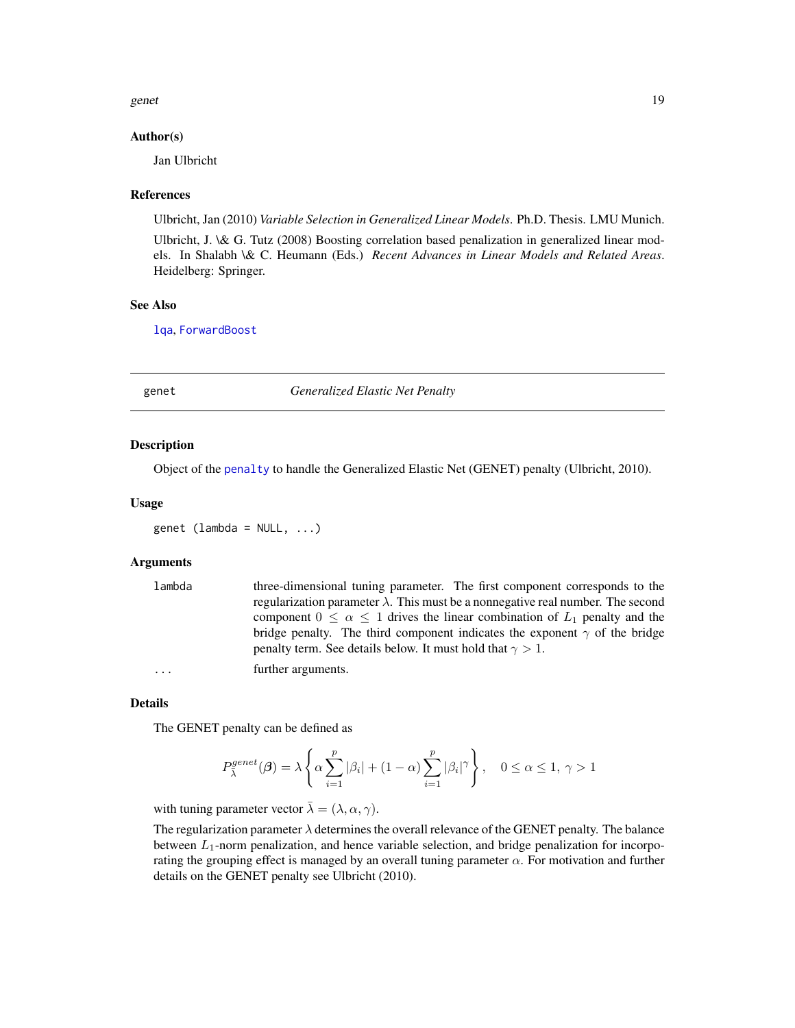#### <span id="page-18-0"></span>genet 19

#### Author(s)

Jan Ulbricht

#### References

Ulbricht, Jan (2010) *Variable Selection in Generalized Linear Models*. Ph.D. Thesis. LMU Munich.

Ulbricht, J. \& G. Tutz (2008) Boosting correlation based penalization in generalized linear models. In Shalabh \& C. Heumann (Eds.) *Recent Advances in Linear Models and Related Areas*. Heidelberg: Springer.

#### See Also

[lqa](#page-23-1), [ForwardBoost](#page-13-1)

#### <span id="page-18-1"></span>genet *Generalized Elastic Net Penalty*

#### Description

Object of the [penalty](#page-31-1) to handle the Generalized Elastic Net (GENET) penalty (Ulbricht, 2010).

#### Usage

genet (lambda =  $NULL, ...)$ 

#### Arguments

lambda three-dimensional tuning parameter. The first component corresponds to the regularization parameter  $\lambda$ . This must be a nonnegative real number. The second component  $0 \le \alpha \le 1$  drives the linear combination of  $L_1$  penalty and the bridge penalty. The third component indicates the exponent  $\gamma$  of the bridge penalty term. See details below. It must hold that  $\gamma > 1$ .

... further arguments.

#### Details

The GENET penalty can be defined as

$$
P_{\overline{\lambda}}^{genet}(\boldsymbol{\beta}) = \lambda \left\{ \alpha \sum_{i=1}^{p} |\beta_i| + (1 - \alpha) \sum_{i=1}^{p} |\beta_i|^{\gamma} \right\}, \quad 0 \le \alpha \le 1, \gamma > 1
$$

with tuning parameter vector  $\bar{\lambda} = (\lambda, \alpha, \gamma)$ .

The regularization parameter  $\lambda$  determines the overall relevance of the GENET penalty. The balance between  $L_1$ -norm penalization, and hence variable selection, and bridge penalization for incorporating the grouping effect is managed by an overall tuning parameter  $\alpha$ . For motivation and further details on the GENET penalty see Ulbricht (2010).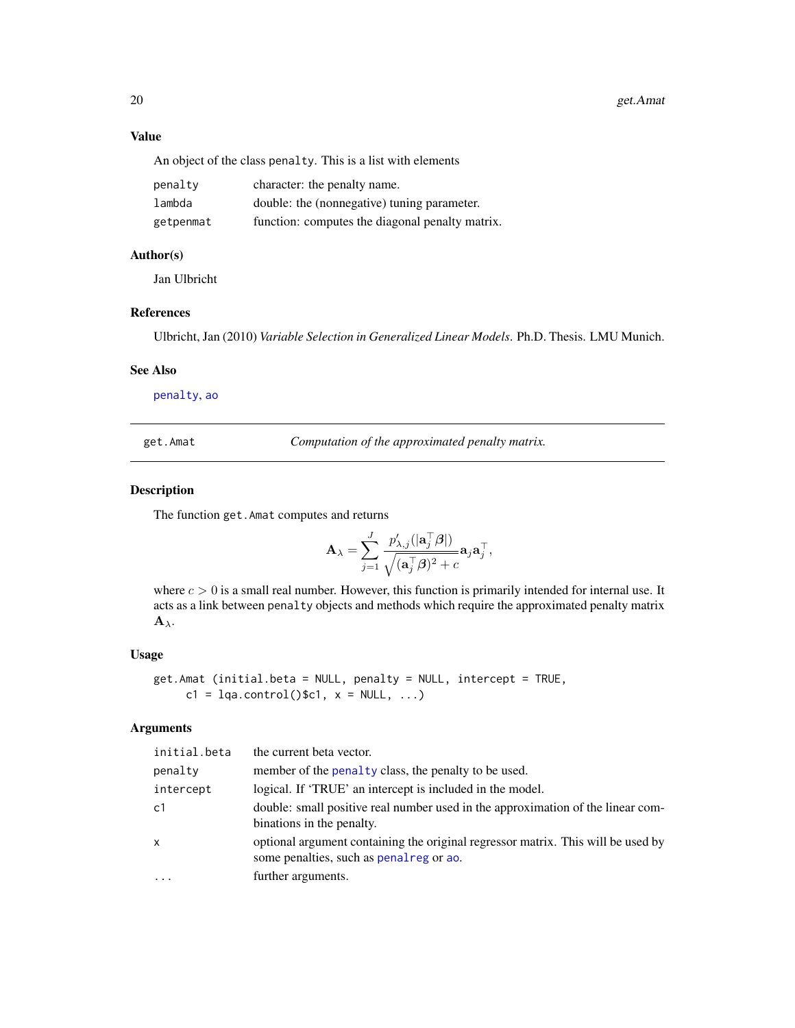20 get.Amat

# Value

An object of the class penalty. This is a list with elements

| penalty   | character: the penalty name.                    |
|-----------|-------------------------------------------------|
| lambda    | double: the (nonnegative) tuning parameter.     |
| getpenmat | function: computes the diagonal penalty matrix. |

# Author(s)

Jan Ulbricht

# References

Ulbricht, Jan (2010) *Variable Selection in Generalized Linear Models*. Ph.D. Thesis. LMU Munich.

# See Also

[penalty](#page-31-1), [ao](#page-3-1)

get.Amat *Computation of the approximated penalty matrix.*

#### Description

The function get.Amat computes and returns

$$
\mathbf{A}_{\lambda} = \sum_{j=1}^J \frac{p'_{\lambda,j}(|\mathbf{a}_j^{\top} \boldsymbol{\beta}|)}{\sqrt{(\mathbf{a}_j^{\top} \boldsymbol{\beta})^2 + c}} \mathbf{a}_j \mathbf{a}_j^{\top},
$$

where  $c > 0$  is a small real number. However, this function is primarily intended for internal use. It acts as a link between penalty objects and methods which require the approximated penalty matrix  $\mathbf{A}_{\lambda}$ .

#### Usage

```
get.Amat (initial.beta = NULL, penalty = NULL, intercept = TRUE,
     c1 = lqa.contrib()$c1, x = NULL, ...)
```

| initial.beta | the current beta vector.                                                                                                    |
|--------------|-----------------------------------------------------------------------------------------------------------------------------|
| penalty      | member of the penalty class, the penalty to be used.                                                                        |
| intercept    | logical. If 'TRUE' an intercept is included in the model.                                                                   |
| c1           | double: small positive real number used in the approximation of the linear com-<br>binations in the penalty.                |
| x            | optional argument containing the original regressor matrix. This will be used by<br>some penalties, such as penalreg or ao. |
| $\cdots$     | further arguments.                                                                                                          |

<span id="page-19-0"></span>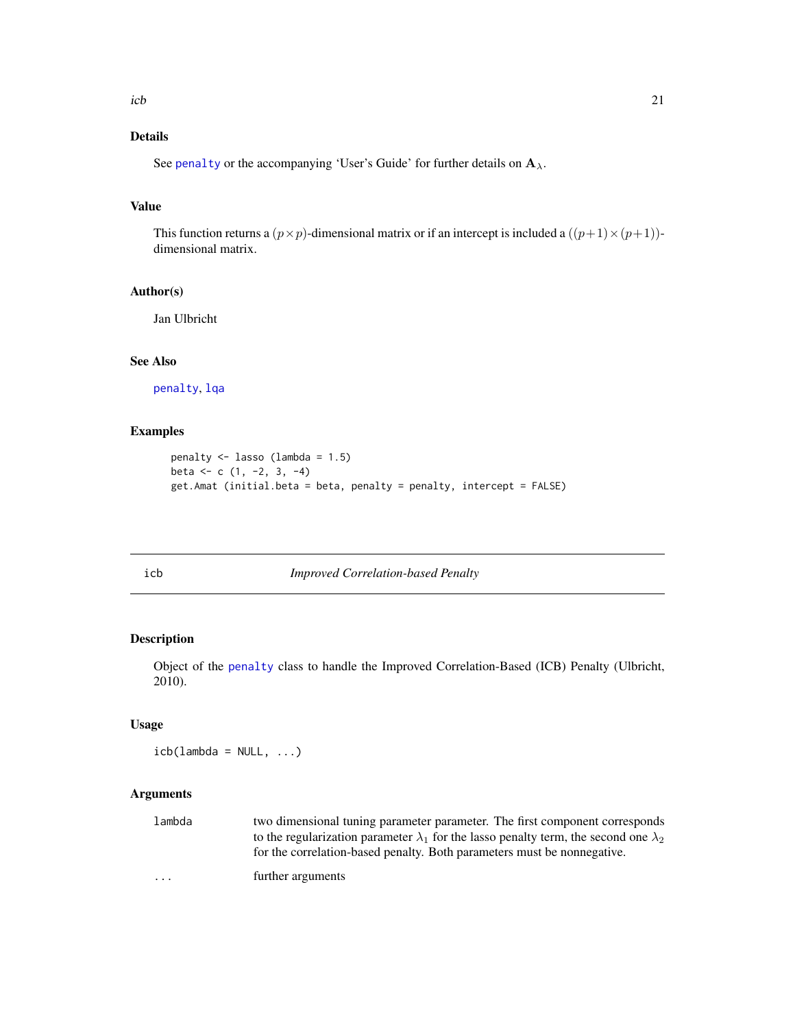<span id="page-20-0"></span>See [penalty](#page-31-1) or the accompanying 'User's Guide' for further details on  $\mathbf{A}_{\lambda}$ .

## Value

This function returns a  $(p \times p)$ -dimensional matrix or if an intercept is included a  $((p+1) \times (p+1))$ dimensional matrix.

# Author(s)

Jan Ulbricht

# See Also

[penalty](#page-31-1), [lqa](#page-23-1)

# Examples

```
penalty <- lasso (lambda = 1.5)
beta <-c (1, -2, 3, -4)
get.Amat (initial.beta = beta, penalty = penalty, intercept = FALSE)
```
<span id="page-20-1"></span>icb *Improved Correlation-based Penalty*

# Description

Object of the [penalty](#page-31-1) class to handle the Improved Correlation-Based (ICB) Penalty (Ulbricht, 2010).

# Usage

 $icb(lambda = NULL, ...)$ 

| lambda   | two dimensional tuning parameter parameter. The first component corresponds                        |
|----------|----------------------------------------------------------------------------------------------------|
|          | to the regularization parameter $\lambda_1$ for the lasso penalty term, the second one $\lambda_2$ |
|          | for the correlation-based penalty. Both parameters must be nonnegative.                            |
| $\cdots$ | further arguments                                                                                  |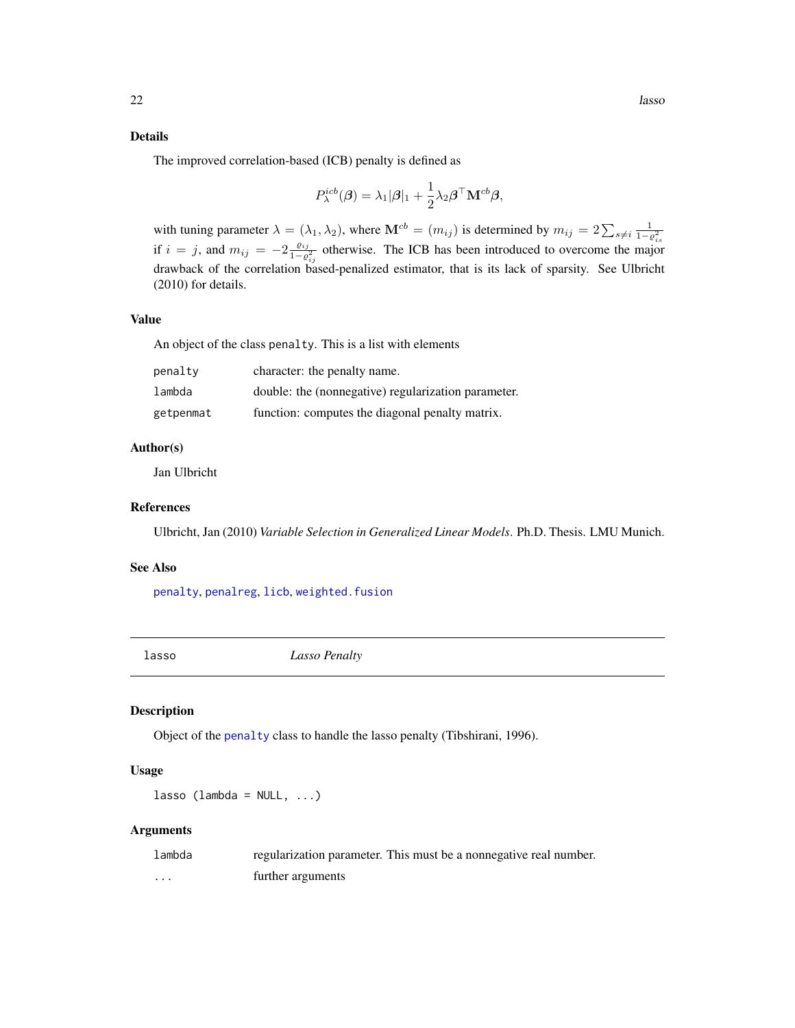<span id="page-21-0"></span>The improved correlation-based (ICB) penalty is defined as

$$
P_{\lambda}^{icb}(\boldsymbol{\beta}) = \lambda_1 |\boldsymbol{\beta}|_1 + \frac{1}{2} \lambda_2 \boldsymbol{\beta}^\top \mathbf{M}^{cb} \boldsymbol{\beta},
$$

with tuning parameter  $\lambda = (\lambda_1, \lambda_2)$ , where  $\mathbf{M}^{cb} = (m_{ij})$  is determined by  $m_{ij} = 2 \sum_{s \neq i} \frac{1}{1 - \varrho_s^2}$ if  $i = j$ , and  $m_{ij} = -2 \frac{\rho_{ij}}{1-\rho^2}$  otherwise. The ICB has been introduced to overcome the major  $\frac{\rho_{ij}}{1-\rho_{ij}^2}$  otherwise. The ICB has been introduced to overcome the major drawback of the correlation based-penalized estimator, that is its lack of sparsity. See Ulbricht (2010) for details.

# Value

An object of the class penalty. This is a list with elements

| penalty   | character: the penalty name.                        |
|-----------|-----------------------------------------------------|
| lambda    | double: the (nonnegative) regularization parameter. |
| getpenmat | function: computes the diagonal penalty matrix.     |

#### Author(s)

Jan Ulbricht

# References

Ulbricht, Jan (2010) *Variable Selection in Generalized Linear Models*. Ph.D. Thesis. LMU Munich.

#### See Also

[penalty](#page-31-1), [penalreg](#page-30-1), [licb](#page-22-1), [weighted.fusion](#page-39-1)

<span id="page-21-1"></span>lasso *Lasso Penalty*

# Description

Object of the [penalty](#page-31-1) class to handle the lasso penalty (Tibshirani, 1996).

# Usage

lasso (lambda =  $NULL, ...)$ 

| lambda                  | regularization parameter. This must be a nonnegative real number. |
|-------------------------|-------------------------------------------------------------------|
| $\cdot$ $\cdot$ $\cdot$ | further arguments                                                 |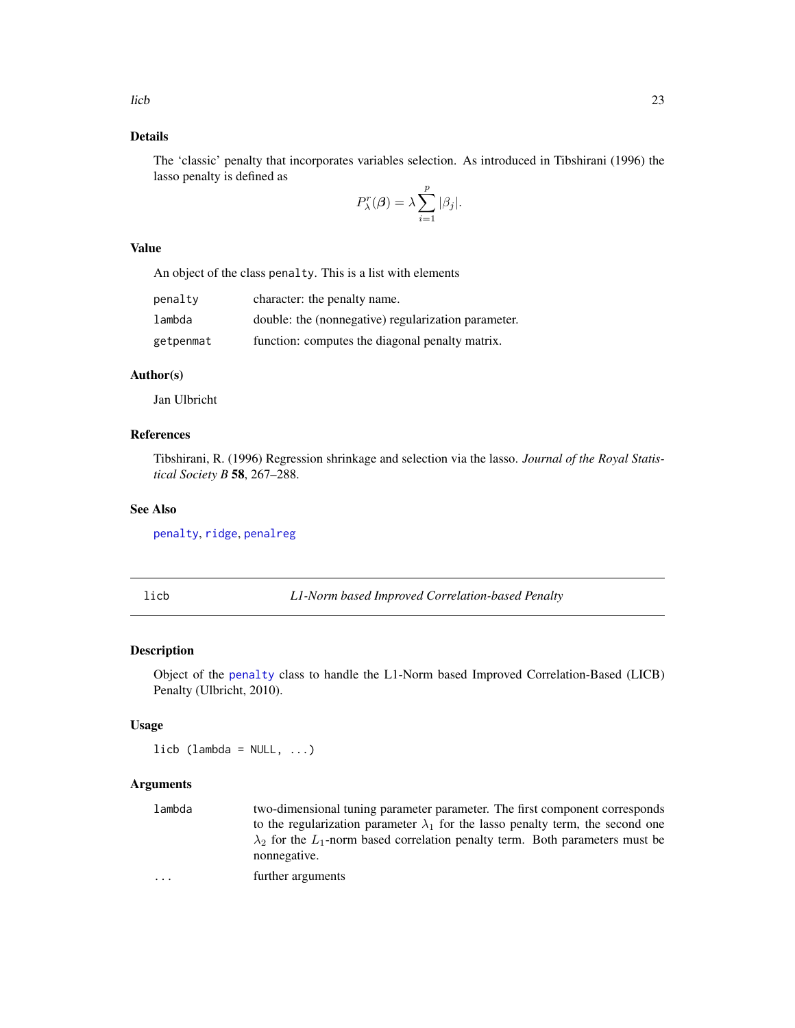<span id="page-22-0"></span>The 'classic' penalty that incorporates variables selection. As introduced in Tibshirani (1996) the lasso penalty is defined as

$$
P_{\lambda}^{r}(\boldsymbol{\beta}) = \lambda \sum_{i=1}^{p} |\beta_{j}|.
$$

# Value

An object of the class penalty. This is a list with elements

| penalty   | character: the penalty name.                        |
|-----------|-----------------------------------------------------|
| lambda    | double: the (nonnegative) regularization parameter. |
| getpenmat | function: computes the diagonal penalty matrix.     |

# Author(s)

Jan Ulbricht

# References

Tibshirani, R. (1996) Regression shrinkage and selection via the lasso. *Journal of the Royal Statistical Society B* 58, 267–288.

# See Also

[penalty](#page-31-1), [ridge](#page-36-1), [penalreg](#page-30-1)

<span id="page-22-1"></span>licb *L1-Norm based Improved Correlation-based Penalty*

# Description

Object of the [penalty](#page-31-1) class to handle the L1-Norm based Improved Correlation-Based (LICB) Penalty (Ulbricht, 2010).

# Usage

 $\text{lib }(\text{lambda} = \text{NULL}, \ldots)$ 

#### Arguments

| lambda | two-dimensional tuning parameter parameter. The first component corresponds                      |
|--------|--------------------------------------------------------------------------------------------------|
|        | to the regularization parameter $\lambda_1$ for the lasso penalty term, the second one           |
|        | $\lambda_2$ for the L <sub>1</sub> -norm based correlation penalty term. Both parameters must be |
|        | nonnegative.                                                                                     |
|        |                                                                                                  |

... further arguments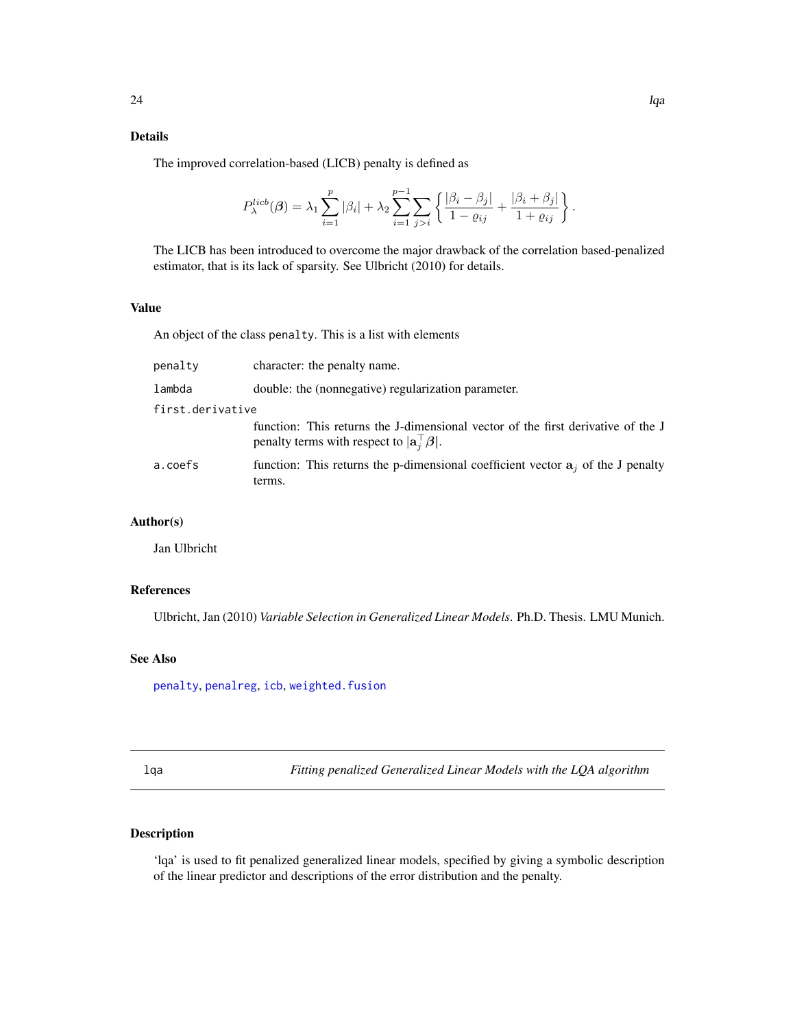<span id="page-23-0"></span>The improved correlation-based (LICB) penalty is defined as

$$
P_\lambda^{licb}(\pmb{\beta}) = \lambda_1 \sum_{i=1}^p |\beta_i| + \lambda_2 \sum_{i=1}^{p-1} \sum_{j>i} \left\{ \frac{|\beta_i - \beta_j|}{1 - \varrho_{ij}} + \frac{|\beta_i + \beta_j|}{1 + \varrho_{ij}} \right\}.
$$

The LICB has been introduced to overcome the major drawback of the correlation based-penalized estimator, that is its lack of sparsity. See Ulbricht (2010) for details.

# Value

An object of the class penalty. This is a list with elements

| penalty          | character: the penalty name.                                                                                                                                      |  |
|------------------|-------------------------------------------------------------------------------------------------------------------------------------------------------------------|--|
| lambda           | double: the (nonnegative) regularization parameter.                                                                                                               |  |
| first.derivative |                                                                                                                                                                   |  |
|                  | function: This returns the J-dimensional vector of the first derivative of the J<br>penalty terms with respect to $ \mathbf{a}_i^{\dagger} \boldsymbol{\beta} $ . |  |
| a.coefs          | function: This returns the p-dimensional coefficient vector $a_i$ of the J penalty<br>terms.                                                                      |  |

# Author(s)

Jan Ulbricht

# References

Ulbricht, Jan (2010) *Variable Selection in Generalized Linear Models*. Ph.D. Thesis. LMU Munich.

# See Also

[penalty](#page-31-1), [penalreg](#page-30-1), [icb](#page-20-1), [weighted.fusion](#page-39-1)

<span id="page-23-1"></span>lqa *Fitting penalized Generalized Linear Models with the LQA algorithm*

# Description

'lqa' is used to fit penalized generalized linear models, specified by giving a symbolic description of the linear predictor and descriptions of the error distribution and the penalty.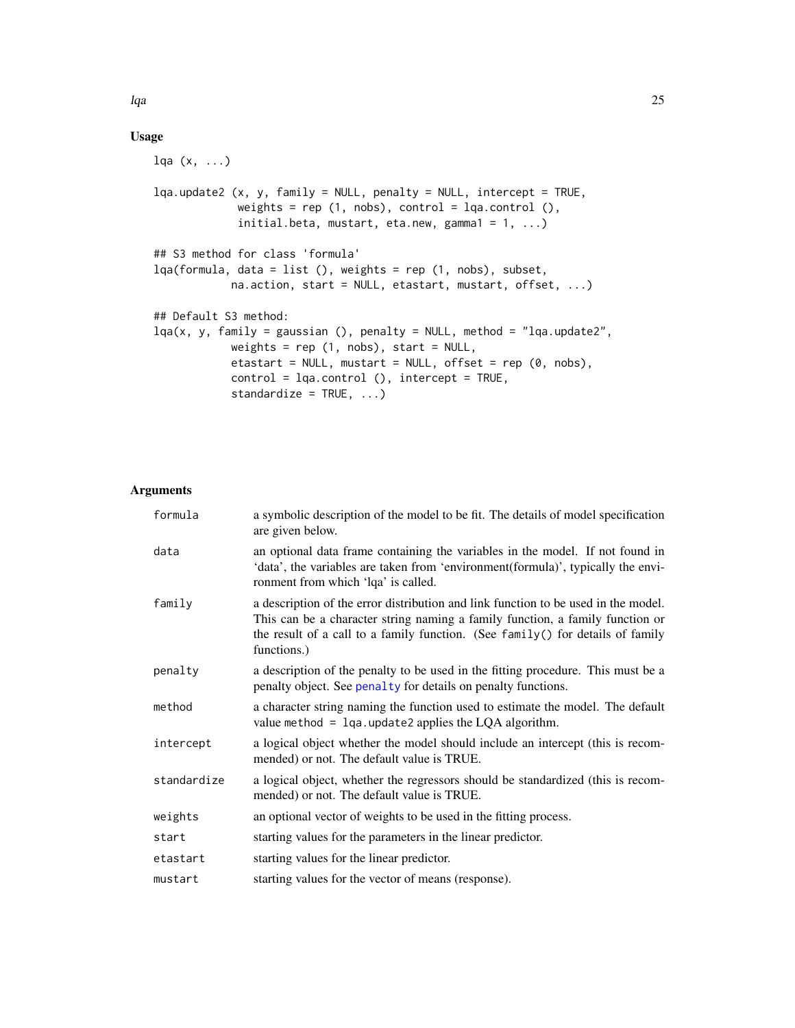# Usage

```
lqa (x, ...)
lqa.update2 (x, y, family = NULL, penalty = NULL, intercept = TRUE,
             weights = rep (1, \text{nobs}), control = lqa.control (),initial.beta, mustart, eta.new, gamma1 = 1, ...)
## S3 method for class 'formula'
lqa(formula, data = list (), weights = rep (1, nobs), subset,
            na.action, start = NULL, etastart, mustart, offset, ...)
## Default S3 method:
lqa(x, y, family = gaussian(), penalty = NULL, method = "lqa.update2",weights = rep(1, nobs), start = NULL,etastart = NULL, mustart = NULL, offset = rep (0, nobs),
            control = lqa.control (), intercept = TRUE,
            standardize = TRUE, ...)
```
# Arguments

| formula     | a symbolic description of the model to be fit. The details of model specification<br>are given below.                                                                                                                                                                |
|-------------|----------------------------------------------------------------------------------------------------------------------------------------------------------------------------------------------------------------------------------------------------------------------|
| data        | an optional data frame containing the variables in the model. If not found in<br>'data', the variables are taken from 'environment(formula)', typically the envi-<br>ronment from which 'lqa' is called.                                                             |
| family      | a description of the error distribution and link function to be used in the model.<br>This can be a character string naming a family function, a family function or<br>the result of a call to a family function. (See family() for details of family<br>functions.) |
| penalty     | a description of the penalty to be used in the fitting procedure. This must be a<br>penalty object. See penalty for details on penalty functions.                                                                                                                    |
| method      | a character string naming the function used to estimate the model. The default<br>value method = $1qa$ . update2 applies the LQA algorithm.                                                                                                                          |
| intercept   | a logical object whether the model should include an intercept (this is recom-<br>mended) or not. The default value is TRUE.                                                                                                                                         |
| standardize | a logical object, whether the regressors should be standardized (this is recom-<br>mended) or not. The default value is TRUE.                                                                                                                                        |
| weights     | an optional vector of weights to be used in the fitting process.                                                                                                                                                                                                     |
| start       | starting values for the parameters in the linear predictor.                                                                                                                                                                                                          |
| etastart    | starting values for the linear predictor.                                                                                                                                                                                                                            |
| mustart     | starting values for the vector of means (response).                                                                                                                                                                                                                  |

lqa **25**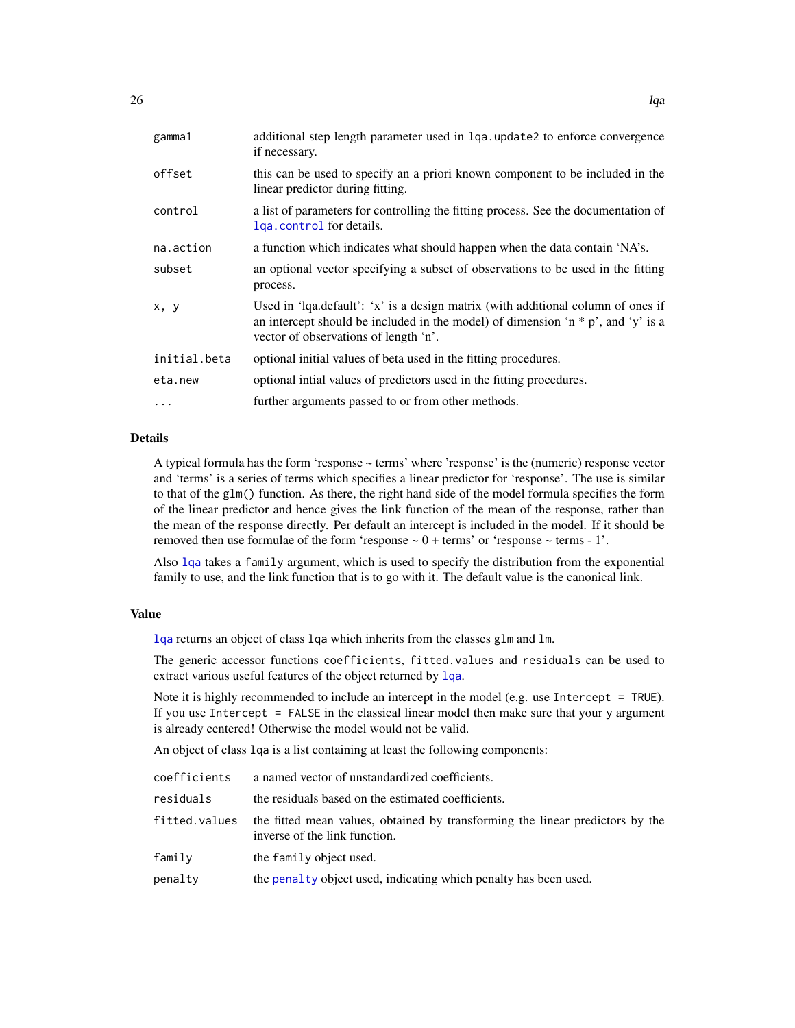<span id="page-25-0"></span>

| additional step length parameter used in 1qa. update2 to enforce convergence<br>if necessary.                                                                                                                   |
|-----------------------------------------------------------------------------------------------------------------------------------------------------------------------------------------------------------------|
| this can be used to specify an a priori known component to be included in the<br>linear predictor during fitting.                                                                                               |
| a list of parameters for controlling the fitting process. See the documentation of<br>lga.control for details.                                                                                                  |
| a function which indicates what should happen when the data contain 'NA's.                                                                                                                                      |
| an optional vector specifying a subset of observations to be used in the fitting<br>process.                                                                                                                    |
| Used in 'lqa.default': 'x' is a design matrix (with additional column of ones if<br>an intercept should be included in the model) of dimension 'n $*$ p', and 'y' is a<br>vector of observations of length 'n'. |
| optional initial values of beta used in the fitting procedures.                                                                                                                                                 |
| optional initial values of predictors used in the fitting procedures.                                                                                                                                           |
| further arguments passed to or from other methods.                                                                                                                                                              |
|                                                                                                                                                                                                                 |

A typical formula has the form 'response ~ terms' where 'response' is the (numeric) response vector and 'terms' is a series of terms which specifies a linear predictor for 'response'. The use is similar to that of the glm() function. As there, the right hand side of the model formula specifies the form of the linear predictor and hence gives the link function of the mean of the response, rather than the mean of the response directly. Per default an intercept is included in the model. If it should be removed then use formulae of the form 'response  $\sim 0 + \text{terms'}$  or 'response  $\sim \text{terms} - 1'$ .

Also [lqa](#page-23-1) takes a family argument, which is used to specify the distribution from the exponential family to use, and the link function that is to go with it. The default value is the canonical link.

# Value

[lqa](#page-23-1) returns an object of class lqa which inherits from the classes glm and lm.

The generic accessor functions coefficients, fitted.values and residuals can be used to extract various useful features of the object returned by [lqa](#page-23-1).

Note it is highly recommended to include an intercept in the model (e.g. use Intercept = TRUE). If you use Intercept = FALSE in the classical linear model then make sure that your y argument is already centered! Otherwise the model would not be valid.

An object of class lqa is a list containing at least the following components:

| coefficients  | a named vector of unstandardized coefficients.                                                                 |
|---------------|----------------------------------------------------------------------------------------------------------------|
| residuals     | the residuals based on the estimated coefficients.                                                             |
| fitted.values | the fitted mean values, obtained by transforming the linear predictors by the<br>inverse of the link function. |
| family        | the family object used.                                                                                        |
| penalty       | the penalty object used, indicating which penalty has been used.                                               |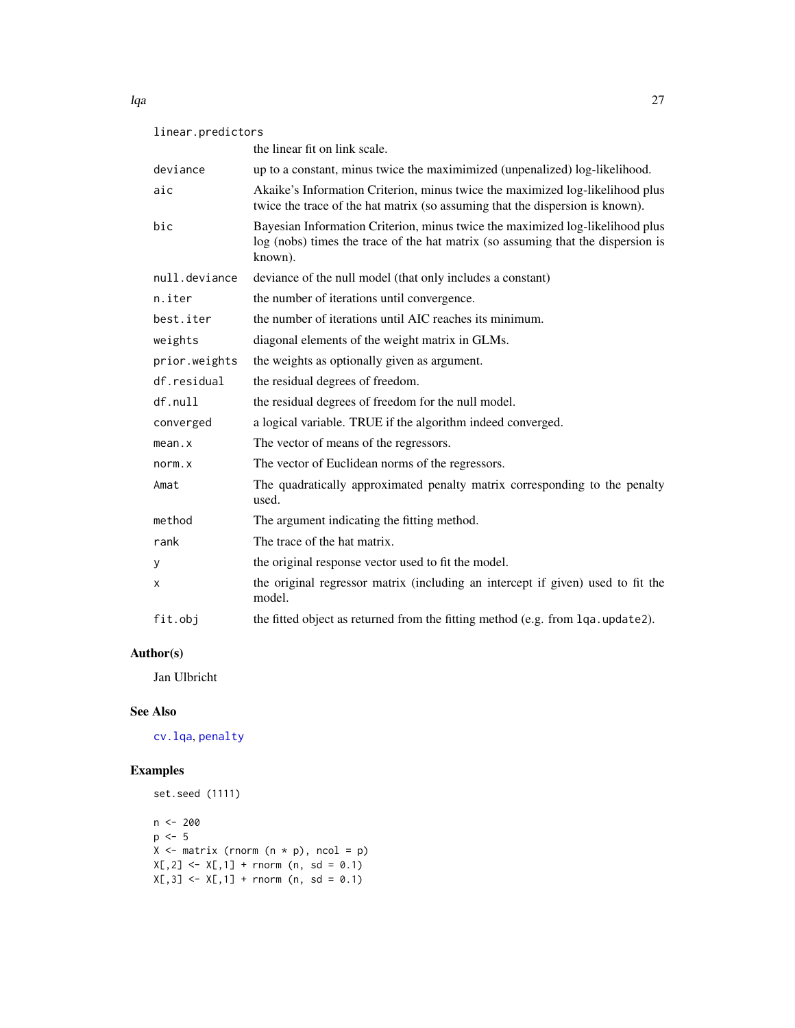# <span id="page-26-0"></span>lqa qabala qabala qabala qabala qabala qabala qabala qabala qabala qabala qabala qabala qabala qabala qabala q

# linear.predictors

|               | the linear fit on link scale.                                                                                                                                                |
|---------------|------------------------------------------------------------------------------------------------------------------------------------------------------------------------------|
| deviance      | up to a constant, minus twice the maximimized (unpenalized) log-likelihood.                                                                                                  |
| aic           | Akaike's Information Criterion, minus twice the maximized log-likelihood plus<br>twice the trace of the hat matrix (so assuming that the dispersion is known).               |
| bic           | Bayesian Information Criterion, minus twice the maximized log-likelihood plus<br>log (nobs) times the trace of the hat matrix (so assuming that the dispersion is<br>known). |
| null.deviance | deviance of the null model (that only includes a constant)                                                                                                                   |
| n.iter        | the number of iterations until convergence.                                                                                                                                  |
| best.iter     | the number of iterations until AIC reaches its minimum.                                                                                                                      |
| weights       | diagonal elements of the weight matrix in GLMs.                                                                                                                              |
| prior.weights | the weights as optionally given as argument.                                                                                                                                 |
| df.residual   | the residual degrees of freedom.                                                                                                                                             |
| df.null       | the residual degrees of freedom for the null model.                                                                                                                          |
| converged     | a logical variable. TRUE if the algorithm indeed converged.                                                                                                                  |
| mean.x        | The vector of means of the regressors.                                                                                                                                       |
| norm.x        | The vector of Euclidean norms of the regressors.                                                                                                                             |
| Amat          | The quadratically approximated penalty matrix corresponding to the penalty<br>used.                                                                                          |
| method        | The argument indicating the fitting method.                                                                                                                                  |
| rank          | The trace of the hat matrix.                                                                                                                                                 |
| y             | the original response vector used to fit the model.                                                                                                                          |
| х             | the original regressor matrix (including an intercept if given) used to fit the<br>model.                                                                                    |
| fit.obj       | the fitted object as returned from the fitting method (e.g. from 1qa. update2).                                                                                              |

# Author(s)

Jan Ulbricht

# See Also

[cv.lqa](#page-6-1), [penalty](#page-31-1)

# Examples

```
set.seed (1111)
n <- 200
p \le -5X \leftarrow matrix (rnorm (n * p), ncol = p)
X[, 2] \leftarrow X[, 1] + \text{norm} (\text{n, sd} = 0.1)X[, 3] <- X[, 1] + rnorm (n, sd = 0.1)
```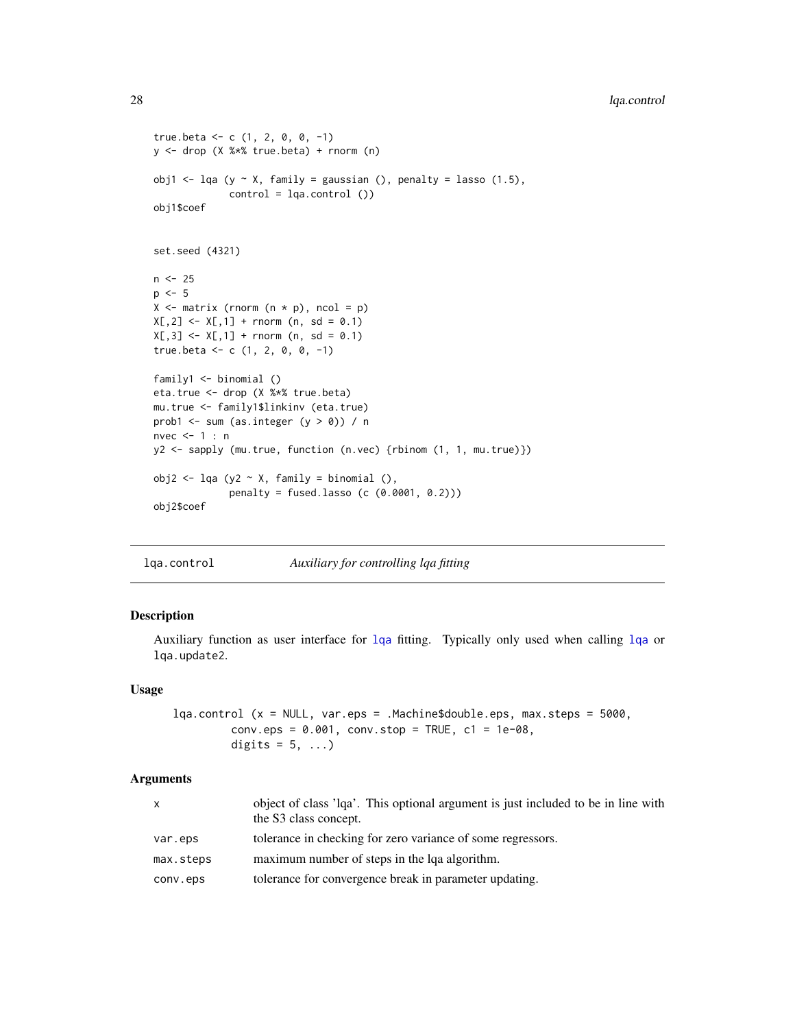# <span id="page-27-0"></span>28 lqa.control

```
true.beta \leq -c (1, 2, 0, 0, -1)
y <- drop (X %*% true.beta) + rnorm (n)
obj1 <- lqa (y \sim X, family = gaussian (), penalty = lasso (1.5),
             control = lqa.contrib()obj1$coef
set.seed (4321)
n < -25p \le -5X \le matrix (rnorm (n * p), ncol = p)
X[, 2] \leftarrow X[, 1] + \text{norm} (n, sd = 0.1)X[, 3] <- X[, 1] + rnorm (n, sd = 0.1)
true.beta <- c (1, 2, 0, 0, -1)family1 <- binomial ()
eta.true <- drop (X %*% true.beta)
mu.true <- family1$linkinv (eta.true)
prob1 <- sum (as.integer (y > 0)) / n
nvec <-1 : n
y2 <- sapply (mu.true, function (n.vec) {rbinom (1, 1, mu.true)})
obj2 <- lqa (y2 \sim X, family = binomial (),
             penalty = fused.lasso (c (0.0001, 0.2)))
obj2$coef
```
<span id="page-27-1"></span>lqa.control *Auxiliary for controlling lqa fitting*

#### Description

Auxiliary function as user interface for [lqa](#page-23-1) fitting. Typically only used when calling [lqa](#page-23-1) or lqa.update2.

#### Usage

```
lqa.control (x = NULL, var.eps = .Machine$double.eps, max.steps = 5000,
         conv.eps = 0.001, conv.stop = TRUE, c1 = 1e-08,
         digits = 5, ...)
```

|           | object of class 'lqa'. This optional argument is just included to be in line with<br>the S3 class concept. |
|-----------|------------------------------------------------------------------------------------------------------------|
| var.eps   | tolerance in checking for zero variance of some regressors.                                                |
| max.steps | maximum number of steps in the lga algorithm.                                                              |
| conv.eps  | tolerance for convergence break in parameter updating.                                                     |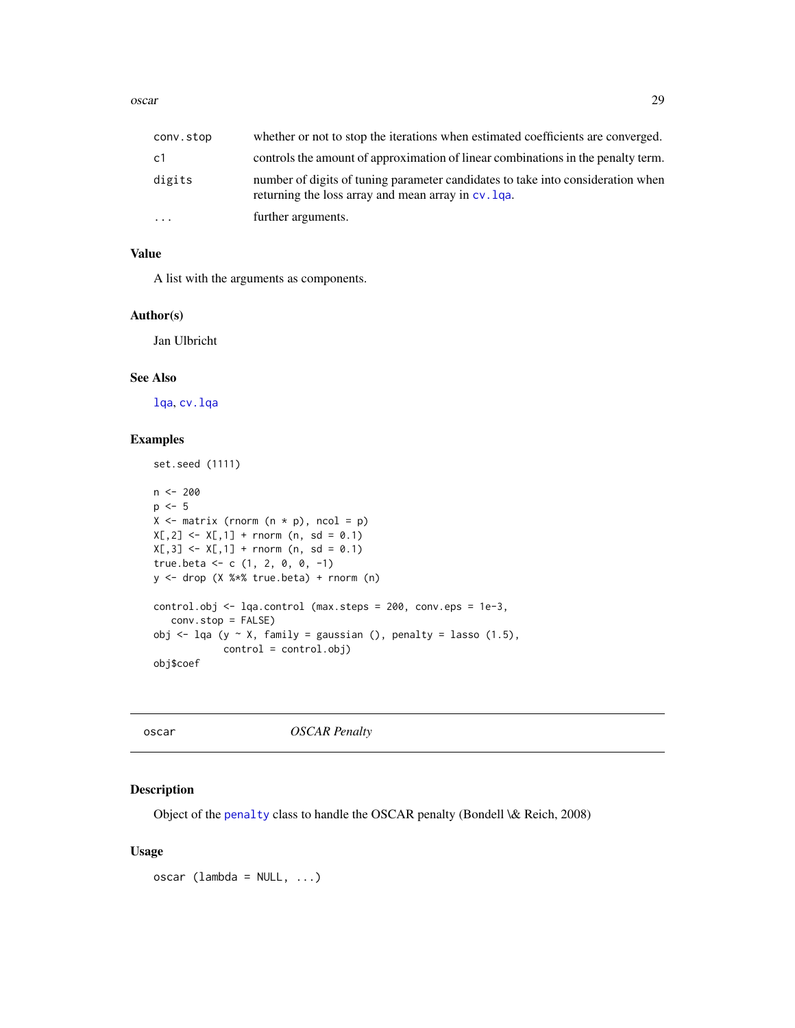<span id="page-28-0"></span>

| conv.stop | whether or not to stop the iterations when estimated coefficients are converged.                                                       |
|-----------|----------------------------------------------------------------------------------------------------------------------------------------|
| c1        | controls the amount of approximation of linear combinations in the penalty term.                                                       |
| digits    | number of digits of tuning parameter candidates to take into consideration when<br>returning the loss array and mean array in cv. 1qa. |
| .         | further arguments.                                                                                                                     |

#### Value

A list with the arguments as components.

# Author(s)

Jan Ulbricht

# See Also

[lqa](#page-23-1), [cv.lqa](#page-6-1)

# Examples

```
set.seed (1111)
n <- 200
p \le -5X \le - matrix (rnorm (n * p), ncol = p)
X[, 2] <- X[, 1] + rnorm (n, sd = 0.1)
X[, 3] <- X[, 1] + rnorm (n, sd = 0.1)
true.beta <- c (1, 2, 0, 0, -1)y <- drop (X %*% true.beta) + rnorm (n)
control.obj <- lqa.control (max.steps = 200, conv.eps = 1e-3,
   conv.stop = FALSE)
obj \leq 1qa (y \sim X, family = gaussian (), penalty = lasso (1.5),
            control = control.obj)
obj$coef
```
oscar *OSCAR Penalty*

# Description

Object of the [penalty](#page-31-1) class to handle the OSCAR penalty (Bondell \& Reich, 2008)

# Usage

oscar (lambda = NULL, ...)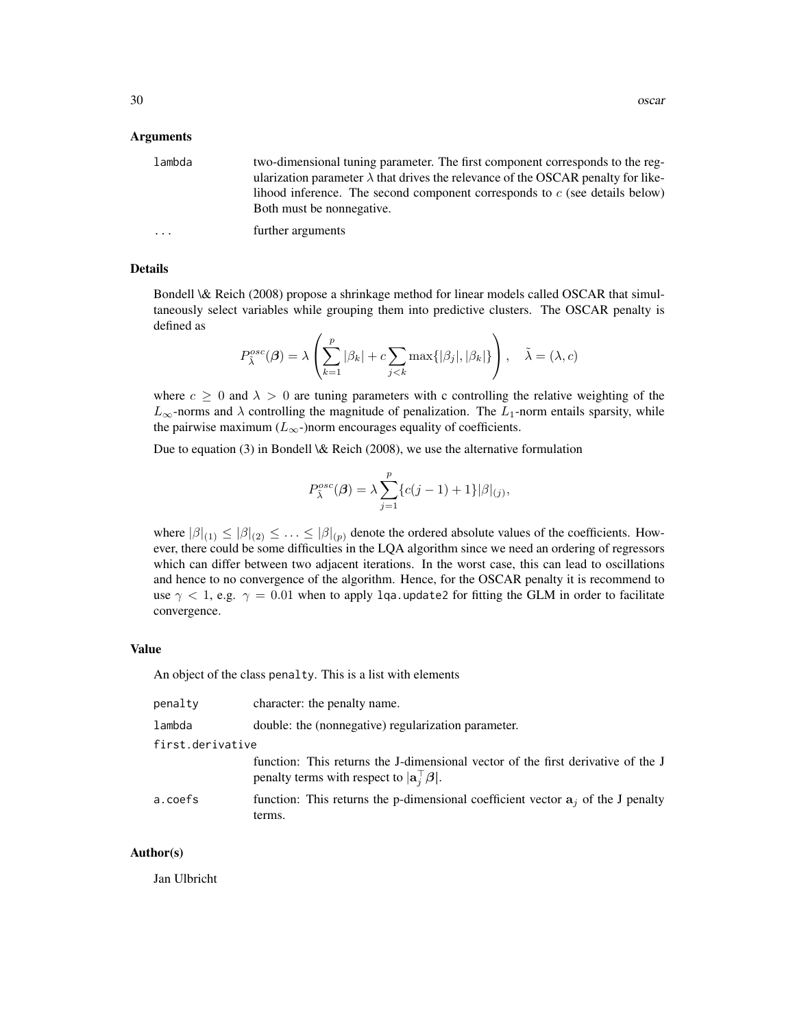#### Arguments

lambda two-dimensional tuning parameter. The first component corresponds to the regularization parameter  $\lambda$  that drives the relevance of the OSCAR penalty for likelihood inference. The second component corresponds to  $c$  (see details below) Both must be nonnegative.

... further arguments

#### Details

Bondell \& Reich (2008) propose a shrinkage method for linear models called OSCAR that simultaneously select variables while grouping them into predictive clusters. The OSCAR penalty is defined as

$$
P_{\tilde{\lambda}}^{osc}(\boldsymbol{\beta}) = \lambda \left( \sum_{k=1}^{p} |\beta_k| + c \sum_{j < k} \max\{ |\beta_j|, |\beta_k| \} \right), \quad \tilde{\lambda} = (\lambda, c)
$$

where  $c \ge 0$  and  $\lambda > 0$  are tuning parameters with c controlling the relative weighting of the  $L_{\infty}$ -norms and  $\lambda$  controlling the magnitude of penalization. The  $L_1$ -norm entails sparsity, while the pairwise maximum ( $L_{\infty}$ -)norm encourages equality of coefficients.

Due to equation (3) in Bondell \& Reich (2008), we use the alternative formulation

$$
P_{\tilde{\lambda}}^{osc}(\boldsymbol{\beta}) = \lambda \sum_{j=1}^{p} \{c(j-1)+1\} |\beta|_{(j)},
$$

where  $|\beta|_{(1)} \leq |\beta|_{(2)} \leq \ldots \leq |\beta|_{(p)}$  denote the ordered absolute values of the coefficients. However, there could be some difficulties in the LQA algorithm since we need an ordering of regressors which can differ between two adjacent iterations. In the worst case, this can lead to oscillations and hence to no convergence of the algorithm. Hence, for the OSCAR penalty it is recommend to use  $\gamma < 1$ , e.g.  $\gamma = 0.01$  when to apply 1qa. update2 for fitting the GLM in order to facilitate convergence.

#### Value

An object of the class penalty. This is a list with elements

| penalty          | character: the penalty name.                                                                                                                                   |  |
|------------------|----------------------------------------------------------------------------------------------------------------------------------------------------------------|--|
| lambda           | double: the (nonnegative) regularization parameter.                                                                                                            |  |
| first.derivative |                                                                                                                                                                |  |
|                  | function: This returns the J-dimensional vector of the first derivative of the J<br>penalty terms with respect to $ \mathbf{a}_i^{\top} \boldsymbol{\beta} $ . |  |
| a.coefs          | function: This returns the p-dimensional coefficient vector $a_i$ of the J penalty<br>terms.                                                                   |  |

#### Author(s)

Jan Ulbricht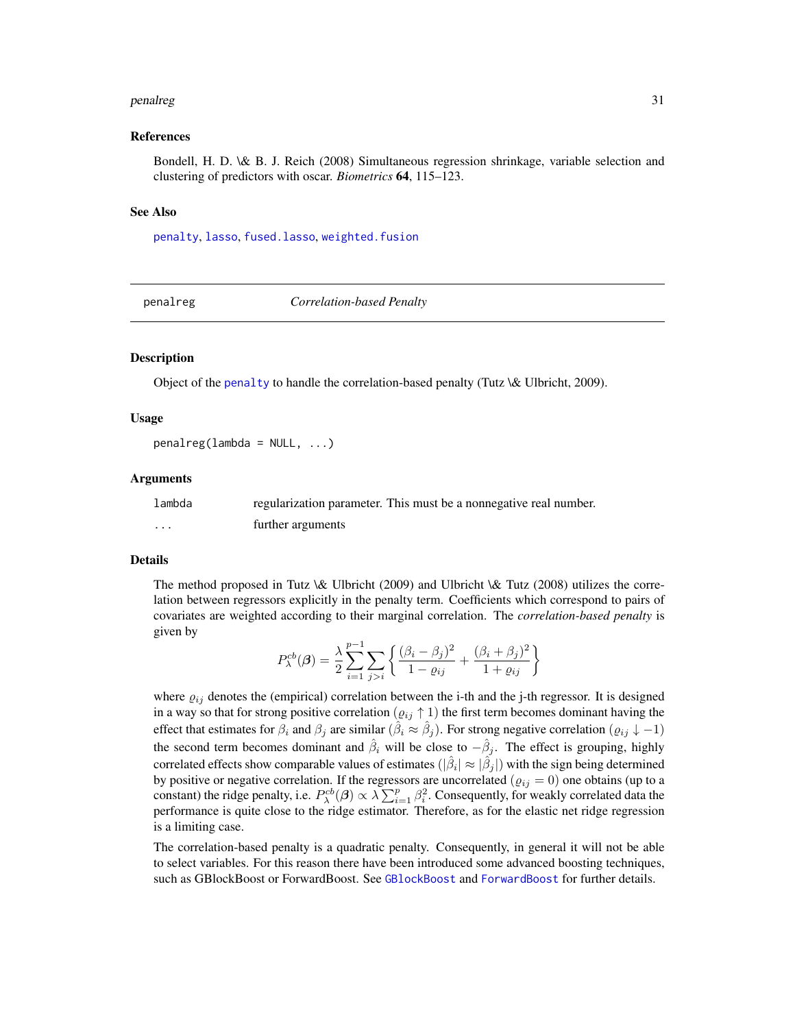#### <span id="page-30-0"></span>penalreg 31

#### References

Bondell, H. D. \& B. J. Reich (2008) Simultaneous regression shrinkage, variable selection and clustering of predictors with oscar. *Biometrics* 64, 115–123.

#### See Also

[penalty](#page-31-1), [lasso](#page-21-1), [fused.lasso](#page-15-1), [weighted.fusion](#page-39-1)

<span id="page-30-1"></span>penalreg *Correlation-based Penalty*

#### **Description**

Object of the [penalty](#page-31-1) to handle the correlation-based penalty (Tutz \& Ulbricht, 2009).

#### Usage

 $penalreg(lambda = NULL, ...)$ 

#### Arguments

| lambda | regularization parameter. This must be a nonnegative real number. |
|--------|-------------------------------------------------------------------|
| .      | further arguments                                                 |

#### Details

The method proposed in Tutz \& Ulbricht (2009) and Ulbricht \& Tutz (2008) utilizes the correlation between regressors explicitly in the penalty term. Coefficients which correspond to pairs of covariates are weighted according to their marginal correlation. The *correlation-based penalty* is given by

$$
P_{\lambda}^{cb}(\mathcal{B}) = \frac{\lambda}{2} \sum_{i=1}^{p-1} \sum_{j>i} \left\{ \frac{(\beta_i - \beta_j)^2}{1 - \varrho_{ij}} + \frac{(\beta_i + \beta_j)^2}{1 + \varrho_{ij}} \right\}
$$

where  $\varrho_{ij}$  denotes the (empirical) correlation between the i-th and the j-th regressor. It is designed in a way so that for strong positive correlation ( $\varrho_{ij} \uparrow 1$ ) the first term becomes dominant having the effect that estimates for  $\beta_i$  and  $\beta_j$  are similar  $(\hat{\beta}_i \approx \hat{\beta}_j)$ . For strong negative correlation  $(\varrho_{ij} \downarrow -1)$ the second term becomes dominant and  $\hat{\beta}_i$  will be close to  $-\hat{\beta}_j$ . The effect is grouping, highly correlated effects show comparable values of estimates  $(|\hat{\beta}_i|\approx|\hat{\beta}_j|)$  with the sign being determined by positive or negative correlation. If the regressors are uncorrelated  $(\varrho_{ij} = 0)$  one obtains (up to a constant) the ridge penalty, i.e.  $P_{\lambda}^{cb}(\beta) \propto \lambda \sum_{i=1}^{p} \beta_i^2$ . Consequently, for weakly correlated data the performance is quite close to the ridge estimator. Therefore, as for the elastic net ridge regression is a limiting case.

The correlation-based penalty is a quadratic penalty. Consequently, in general it will not be able to select variables. For this reason there have been introduced some advanced boosting techniques, such as GBlockBoost or ForwardBoost. See [GBlockBoost](#page-16-1) and [ForwardBoost](#page-13-1) for further details.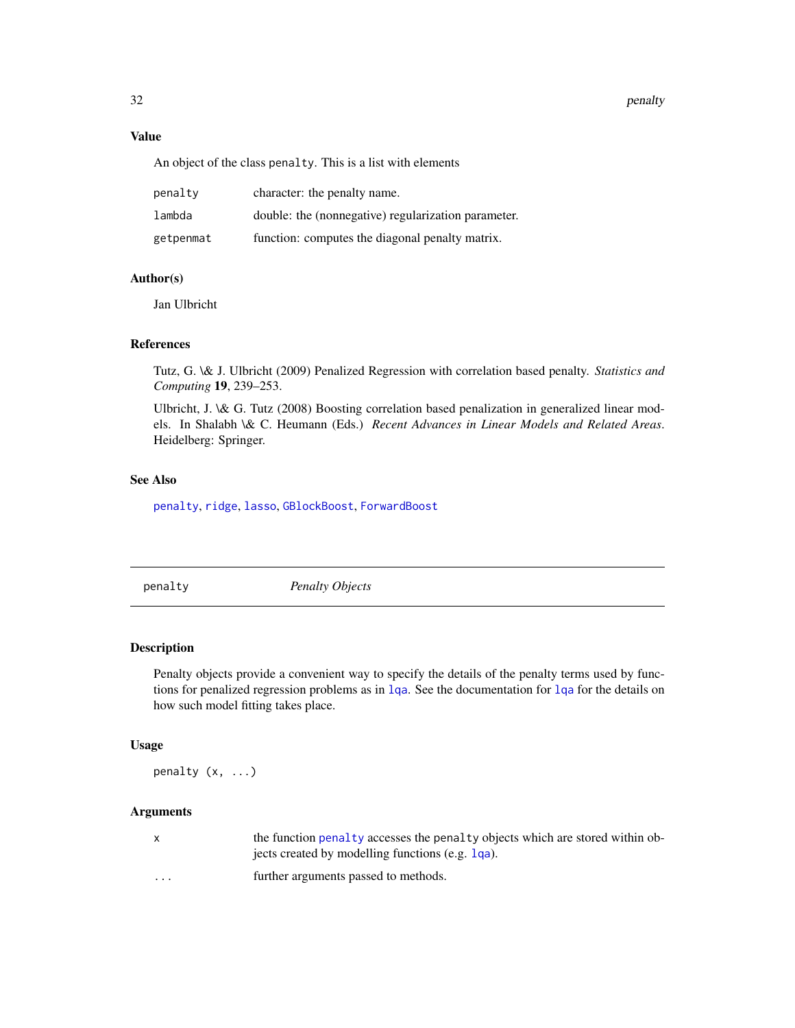#### 32 penalty

# Value

An object of the class penalty. This is a list with elements

| penalty   | character: the penalty name.                        |
|-----------|-----------------------------------------------------|
| lambda    | double: the (nonnegative) regularization parameter. |
| getpenmat | function: computes the diagonal penalty matrix.     |

# Author(s)

Jan Ulbricht

#### References

Tutz, G. \& J. Ulbricht (2009) Penalized Regression with correlation based penalty. *Statistics and Computing* 19, 239–253.

Ulbricht, J. \& G. Tutz (2008) Boosting correlation based penalization in generalized linear models. In Shalabh \& C. Heumann (Eds.) *Recent Advances in Linear Models and Related Areas*. Heidelberg: Springer.

# See Also

[penalty](#page-31-1), [ridge](#page-36-1), [lasso](#page-21-1), [GBlockBoost](#page-16-1), [ForwardBoost](#page-13-1)

<span id="page-31-1"></span>penalty *Penalty Objects*

# Description

Penalty objects provide a convenient way to specify the details of the penalty terms used by functions for penalized regression problems as in [lqa](#page-23-1). See the documentation for [lqa](#page-23-1) for the details on how such model fitting takes place.

#### Usage

penalty (x, ...)

|                         | the function penalty accesses the penalty objects which are stored within ob-<br>jects created by modelling functions (e.g. 1ga). |
|-------------------------|-----------------------------------------------------------------------------------------------------------------------------------|
| $\cdot$ $\cdot$ $\cdot$ | further arguments passed to methods.                                                                                              |

<span id="page-31-0"></span>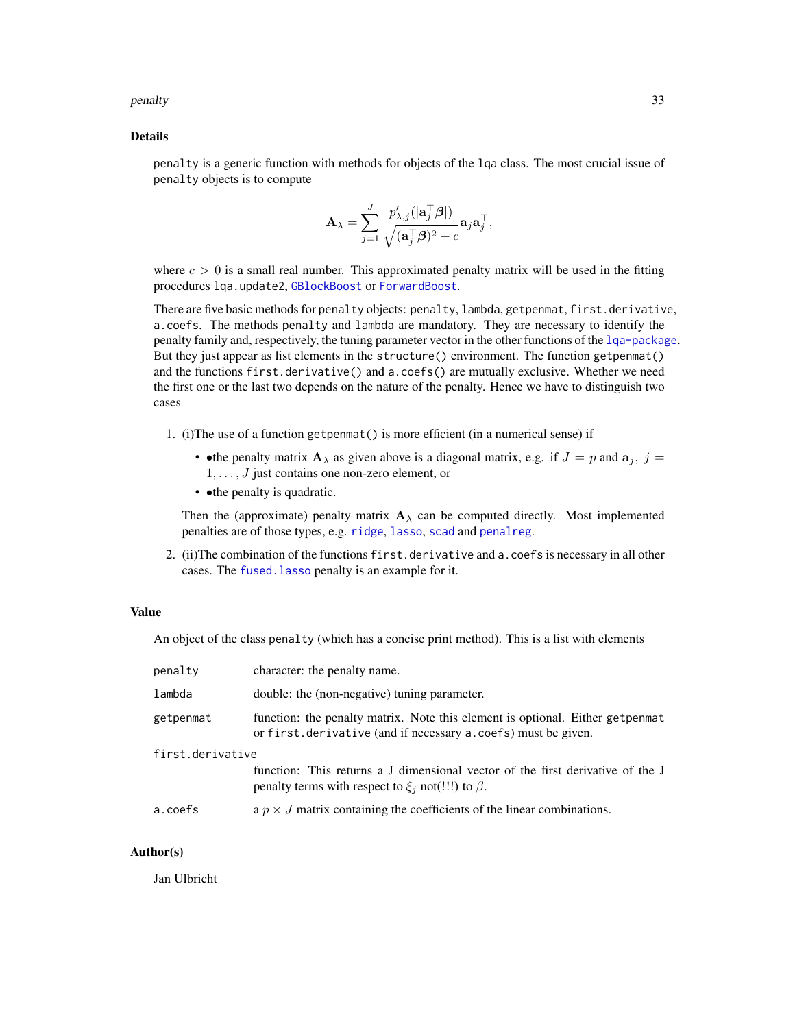#### <span id="page-32-0"></span>penalty 33

#### Details

penalty is a generic function with methods for objects of the lqa class. The most crucial issue of penalty objects is to compute

$$
\mathbf{A}_{\lambda} = \sum_{j=1}^J \frac{p'_{\lambda,j}(|\mathbf{a}_j^\top \boldsymbol{\beta}|)}{\sqrt{(\mathbf{a}_j^\top \boldsymbol{\beta})^2 + c}} \mathbf{a}_j \mathbf{a}_j^\top,
$$

where  $c > 0$  is a small real number. This approximated penalty matrix will be used in the fitting procedures lqa.update2, [GBlockBoost](#page-16-1) or [ForwardBoost](#page-13-1).

There are five basic methods for penalty objects: penalty, lambda, getpenmat, first.derivative, a.coefs. The methods penalty and lambda are mandatory. They are necessary to identify the penalty family and, respectively, the tuning parameter vector in the other functions of the [lqa-package](#page-1-1). But they just appear as list elements in the structure() environment. The function getpenmat() and the functions first.derivative() and a.coefs() are mutually exclusive. Whether we need the first one or the last two depends on the nature of the penalty. Hence we have to distinguish two cases

- 1. (i)The use of a function getpenmat() is more efficient (in a numerical sense) if
	- •the penalty matrix  $\mathbf{A}_{\lambda}$  as given above is a diagonal matrix, e.g. if  $J = p$  and  $\mathbf{a}_j$ ,  $j =$  $1, \ldots, J$  just contains one non-zero element, or
	- • the penalty is quadratic.

Then the (approximate) penalty matrix  $\mathbf{A}_{\lambda}$  can be computed directly. Most implemented penalties are of those types, e.g. [ridge](#page-36-1), [lasso](#page-21-1), [scad](#page-37-1) and [penalreg](#page-30-1).

2. (ii)The combination of the functions first.derivative and a.coefs is necessary in all other cases. The [fused.lasso](#page-15-1) penalty is an example for it.

#### Value

An object of the class penalty (which has a concise print method). This is a list with elements

| penalty          | character: the penalty name.                                                                                                                      |  |
|------------------|---------------------------------------------------------------------------------------------------------------------------------------------------|--|
| lambda           | double: the (non-negative) tuning parameter.                                                                                                      |  |
| getpenmat        | function: the penalty matrix. Note this element is optional. Either get penmat<br>or first. derivative (and if necessary a. coefs) must be given. |  |
| first.derivative |                                                                                                                                                   |  |
|                  | function: This returns a J dimensional vector of the first derivative of the J<br>penalty terms with respect to $\xi_i$ not(!!!) to $\beta$ .     |  |
| a.coefs          | a $p \times J$ matrix containing the coefficients of the linear combinations.                                                                     |  |

# Author(s)

Jan Ulbricht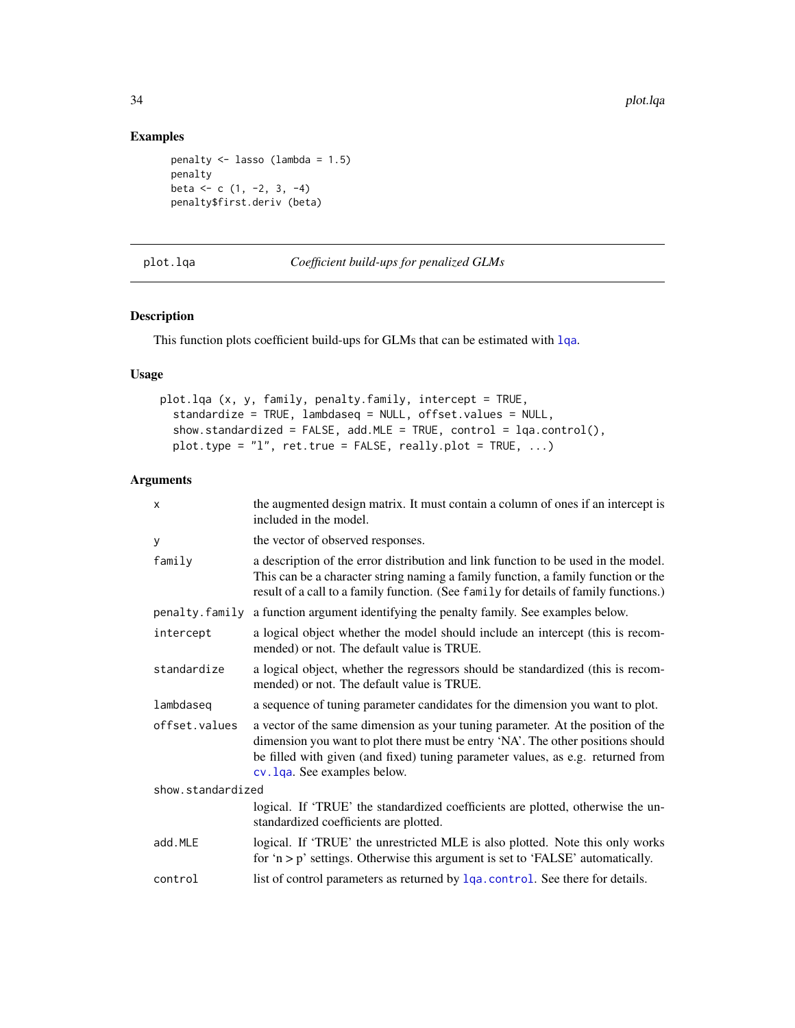# Examples

```
penalty <- lasso (lambda = 1.5)
penalty
beta \leq c (1, -2, 3, -4)penalty$first.deriv (beta)
```
<span id="page-33-1"></span>plot.lqa *Coefficient build-ups for penalized GLMs*

#### Description

This function plots coefficient build-ups for GLMs that can be estimated with [lqa](#page-23-1).

# Usage

```
plot.lqa (x, y, family, penalty.family, intercept = TRUE,
  standardize = TRUE, lambdaseq = NULL, offset.values = NULL,
  show.standardized = FALSE, add.MLE = TRUE, control = lqa.control(),
  plot.type = "l", ret.true = FALSE, really.plot = TRUE, ...)
```

| X                 | the augmented design matrix. It must contain a column of ones if an intercept is<br>included in the model.                                                                                                                                                                               |
|-------------------|------------------------------------------------------------------------------------------------------------------------------------------------------------------------------------------------------------------------------------------------------------------------------------------|
| У                 | the vector of observed responses.                                                                                                                                                                                                                                                        |
| family            | a description of the error distribution and link function to be used in the model.<br>This can be a character string naming a family function, a family function or the<br>result of a call to a family function. (See family for details of family functions.)                          |
| penalty.family    | a function argument identifying the penalty family. See examples below.                                                                                                                                                                                                                  |
| intercept         | a logical object whether the model should include an intercept (this is recom-<br>mended) or not. The default value is TRUE.                                                                                                                                                             |
| standardize       | a logical object, whether the regressors should be standardized (this is recom-<br>mended) or not. The default value is TRUE.                                                                                                                                                            |
| lambdaseq         | a sequence of tuning parameter candidates for the dimension you want to plot.                                                                                                                                                                                                            |
| offset.values     | a vector of the same dimension as your tuning parameter. At the position of the<br>dimension you want to plot there must be entry 'NA'. The other positions should<br>be filled with given (and fixed) tuning parameter values, as e.g. returned from<br>$cv$ . 1qa. See examples below. |
| show.standardized |                                                                                                                                                                                                                                                                                          |
|                   | logical. If 'TRUE' the standardized coefficients are plotted, otherwise the un-<br>standardized coefficients are plotted.                                                                                                                                                                |
| add.MLE           | logical. If 'TRUE' the unrestricted MLE is also plotted. Note this only works<br>for 'n $> p$ ' settings. Otherwise this argument is set to 'FALSE' automatically.                                                                                                                       |
| control           | list of control parameters as returned by lqa. control. See there for details.                                                                                                                                                                                                           |

<span id="page-33-0"></span>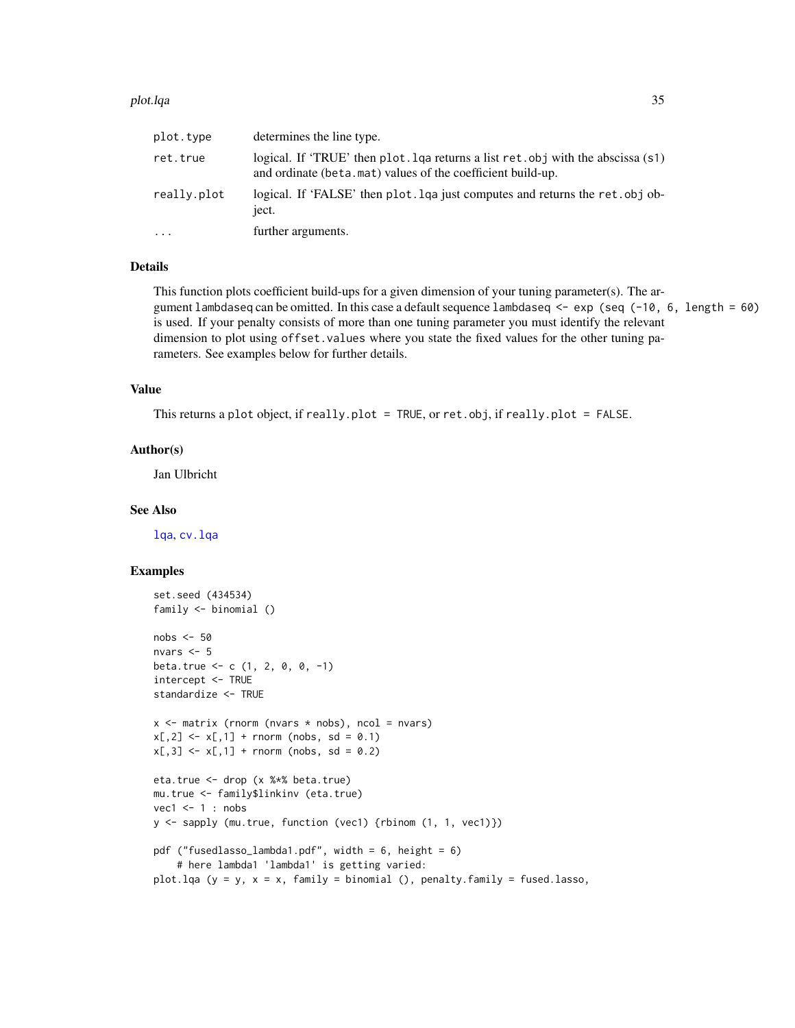#### <span id="page-34-0"></span>plot.lqa 35

| plot.type   | determines the line type.                                                                                                                       |
|-------------|-------------------------------------------------------------------------------------------------------------------------------------------------|
| ret.true    | logical. If 'TRUE' then plot. 1qa returns a list ret. obj with the abscissa (s1)<br>and ordinate (beta.mat) values of the coefficient build-up. |
| really.plot | logical. If 'FALSE' then plot. 1qa just computes and returns the ret. obj ob-<br>ject.                                                          |
| $\ddotsc$   | further arguments.                                                                                                                              |

#### Details

This function plots coefficient build-ups for a given dimension of your tuning parameter(s). The argument lambdaseq can be omitted. In this case a default sequence lambdaseq <- exp (seq (-10, 6, length = 60) is used. If your penalty consists of more than one tuning parameter you must identify the relevant dimension to plot using offset.values where you state the fixed values for the other tuning parameters. See examples below for further details.

#### Value

This returns a plot object, if really.plot = TRUE, or ret.obj, if really.plot = FALSE.

# Author(s)

Jan Ulbricht

#### See Also

[lqa](#page-23-1), [cv.lqa](#page-6-1)

#### Examples

```
set.seed (434534)
family <- binomial ()
nobs <- 50
nvars <-5beta.true <-c(1, 2, 0, 0, -1)intercept <- TRUE
standardize <- TRUE
x \le - matrix (rnorm (nvars * nobs), ncol = nvars)
x[, 2] \le x[, 1] + \text{norm} \text{ (nobs, sd = 0.1)}x[, 3] <- x[, 1] + rnorm (nobs, sd = 0.2)
eta.true <- drop (x %*% beta.true)
mu.true <- family$linkinv (eta.true)
vec1 <- 1 : nobs
y <- sapply (mu.true, function (vec1) {rbinom (1, 1, vec1)})
pdf ("fusedlasso_lambda1.pdf", width = 6, height = 6)
    # here lambda1 'lambda1' is getting varied:
plot.lqa (y = y, x = x, family = binomial (), penalty.family = fused.lasso,
```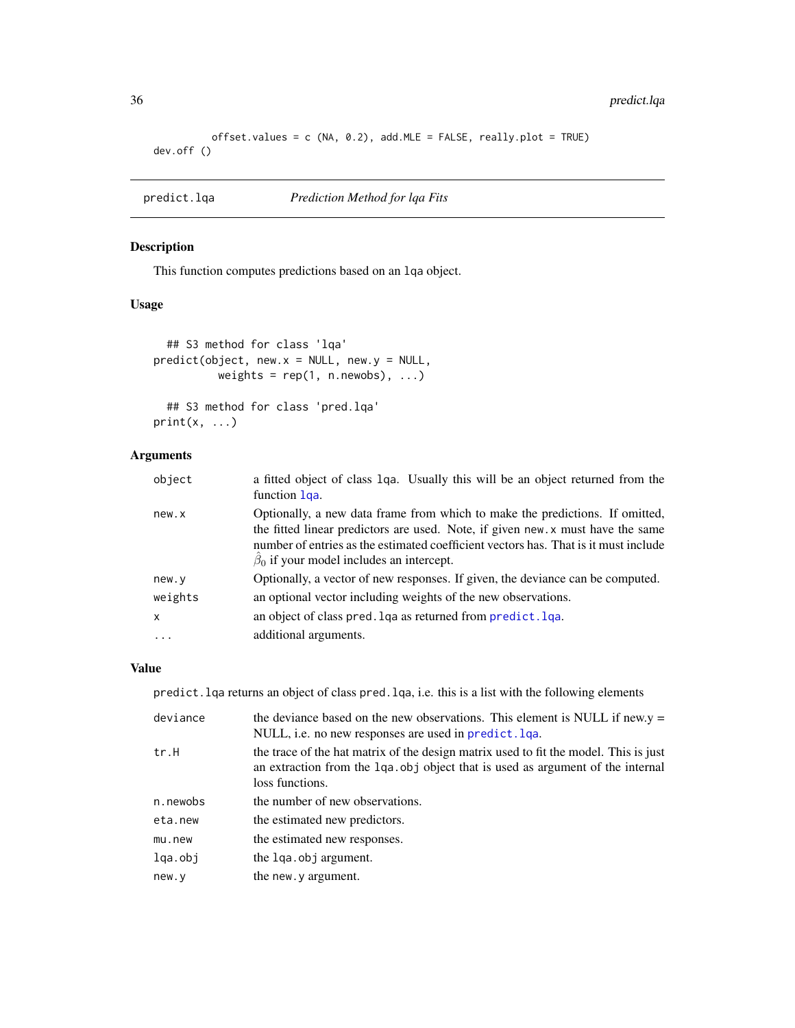```
offset.values = c (NA, 0.2), add. MLE = FALSE, really.plot = TRUE)
dev.off ()
```
<span id="page-35-1"></span>predict.lqa *Prediction Method for lqa Fits*

# Description

This function computes predictions based on an lqa object.

# Usage

```
## S3 method for class 'lqa'
predict(object, new.x = NULL, new.y = NULL,
          weights = rep(1, n.newobs), ...## S3 method for class 'pred.lqa'
print(x, \ldots)
```
# Arguments

| object       | a fitted object of class 1qa. Usually this will be an object returned from the<br>function lga.                                                                                                                                                                                                               |
|--------------|---------------------------------------------------------------------------------------------------------------------------------------------------------------------------------------------------------------------------------------------------------------------------------------------------------------|
| new.x        | Optionally, a new data frame from which to make the predictions. If omitted,<br>the fitted linear predictors are used. Note, if given new x must have the same<br>number of entries as the estimated coefficient vectors has. That is it must include<br>$\hat{\beta}_0$ if your model includes an intercept. |
| new.y        | Optionally, a vector of new responses. If given, the deviance can be computed.                                                                                                                                                                                                                                |
| weights      | an optional vector including weights of the new observations.                                                                                                                                                                                                                                                 |
| $\mathsf{x}$ | an object of class pred. 1qa as returned from predict. 1qa.                                                                                                                                                                                                                                                   |
| $\ddotsc$    | additional arguments.                                                                                                                                                                                                                                                                                         |

# Value

predict.lqa returns an object of class pred.lqa, i.e. this is a list with the following elements

| deviance | the deviance based on the new observations. This element is NULL if new $y =$<br>NULL, i.e. no new responses are used in predict. 1qa.                                                     |
|----------|--------------------------------------------------------------------------------------------------------------------------------------------------------------------------------------------|
| tr.H     | the trace of the hat matrix of the design matrix used to fit the model. This is just<br>an extraction from the 1qa. obj object that is used as argument of the internal<br>loss functions. |
| n.newobs | the number of new observations.                                                                                                                                                            |
| eta.new  | the estimated new predictors.                                                                                                                                                              |
| mu.new   | the estimated new responses.                                                                                                                                                               |
| lga.obj  | the lqa.obj argument.                                                                                                                                                                      |
| new.y    | the new. y argument.                                                                                                                                                                       |
|          |                                                                                                                                                                                            |

<span id="page-35-0"></span>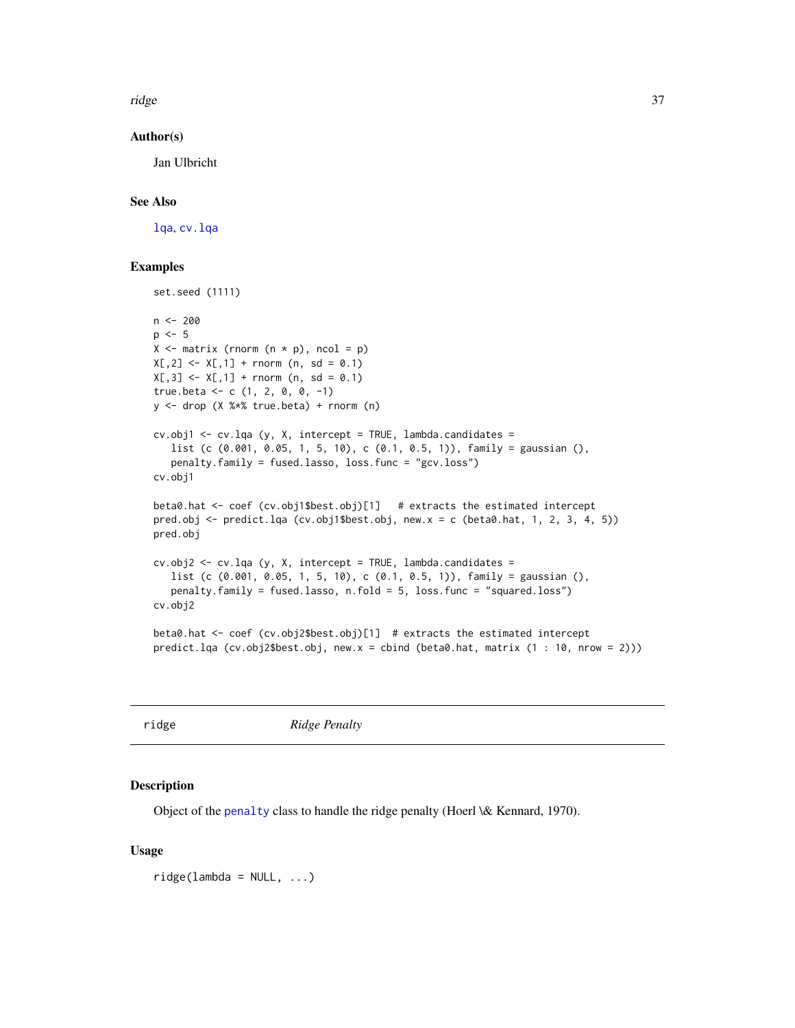<span id="page-36-0"></span>ridge 37

#### Author(s)

Jan Ulbricht

# See Also

[lqa](#page-23-1), [cv.lqa](#page-6-1)

#### Examples

```
set.seed (1111)
n < - 200p \le -5X \le matrix (rnorm (n * p), ncol = p)
X[, 2] \leftarrow X[, 1] + \text{norm} (n, sd = 0.1)X[, 3] <- X[, 1] + rnorm (n, sd = 0.1)
true.beta <- c (1, 2, 0, 0, -1)y <- drop (X %*% true.beta) + rnorm (n)
cv.obj1 <- cv.lqa (y, X, intercept = TRUE, lambda.candidates =
   list (c (0.001, 0.05, 1, 5, 10), c (0.1, 0.5, 1)), family = gaussian (),
   penalty.family = fused.lasso, loss.func = "gcv.loss")
cv.obj1
beta0.hat <- coef (cv.obj1$best.obj)[1] # extracts the estimated intercept
pred.obj <- predict.lqa (cv.obj1$best.obj, new.x = c (beta0.hat, 1, 2, 3, 4, 5))
pred.obj
cv.obj2 <- cv.lqa (y, X, intercept = TRUE, lambda.candidates =
   list (c (0.001, 0.05, 1, 5, 10), c (0.1, 0.5, 1)), family = gaussian (),
   penalty.family = fused.lasso, n.fold = 5, loss.func = "squared.loss")
cv.obj2
beta0.hat <- coef (cv.obj2$best.obj)[1] # extracts the estimated intercept
predict.lqa (cv.obj2$best.obj, new.x = cbind (beta0.hat, matrix (1 : 10, nrow = 2)))
```
<span id="page-36-1"></span>ridge *Ridge Penalty*

# Description

Object of the [penalty](#page-31-1) class to handle the ridge penalty (Hoerl \& Kennard, 1970).

#### Usage

 $ridge(lambda = NULL, ...)$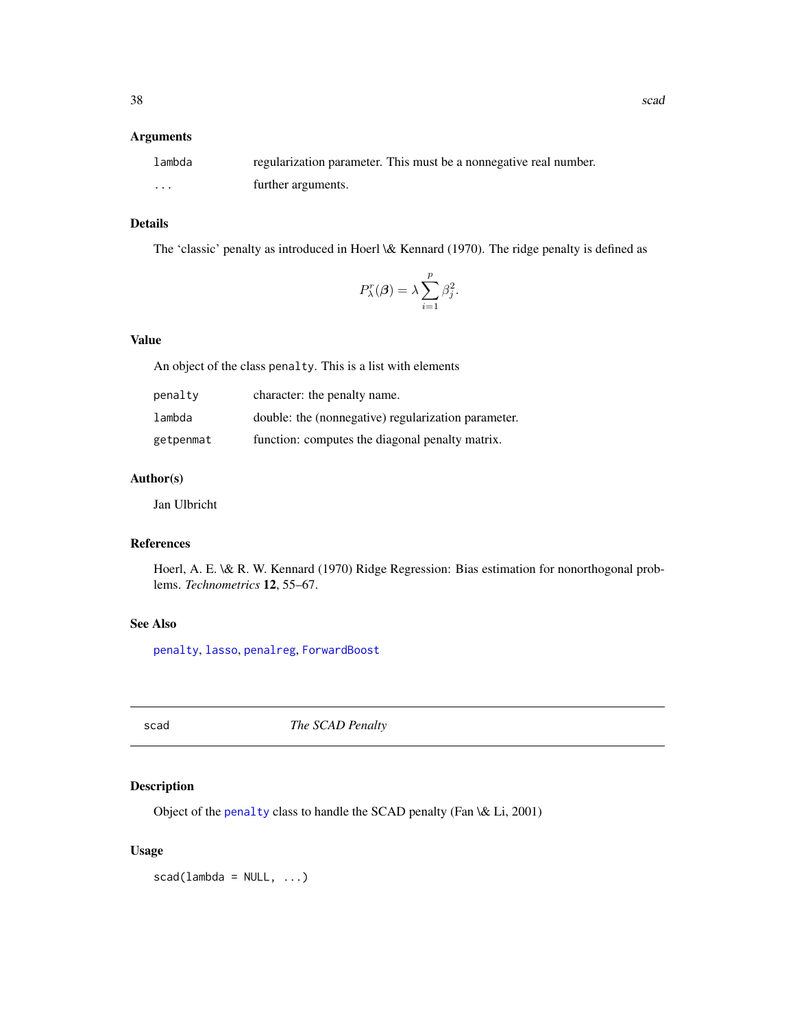# <span id="page-37-0"></span>Arguments

| lambda   | regularization parameter. This must be a nonnegative real number. |
|----------|-------------------------------------------------------------------|
| $\cdots$ | further arguments.                                                |

# Details

The 'classic' penalty as introduced in Hoerl \& Kennard (1970). The ridge penalty is defined as

$$
P_{\lambda}^{r}(\boldsymbol{\beta}) = \lambda \sum_{i=1}^{p} \beta_{j}^{2}.
$$

# Value

An object of the class penalty. This is a list with elements

| penalty   | character: the penalty name.                        |
|-----------|-----------------------------------------------------|
| lambda    | double: the (nonnegative) regularization parameter. |
| getpenmat | function: computes the diagonal penalty matrix.     |

# Author(s)

Jan Ulbricht

# References

Hoerl, A. E. \& R. W. Kennard (1970) Ridge Regression: Bias estimation for nonorthogonal problems. *Technometrics* 12, 55–67.

# See Also

[penalty](#page-31-1), [lasso](#page-21-1), [penalreg](#page-30-1), [ForwardBoost](#page-13-1)

<span id="page-37-1"></span>

scad *The SCAD Penalty*

# Description

Object of the [penalty](#page-31-1) class to handle the SCAD penalty (Fan \& Li, 2001)

# Usage

 $scad(lambda = NULL, ...)$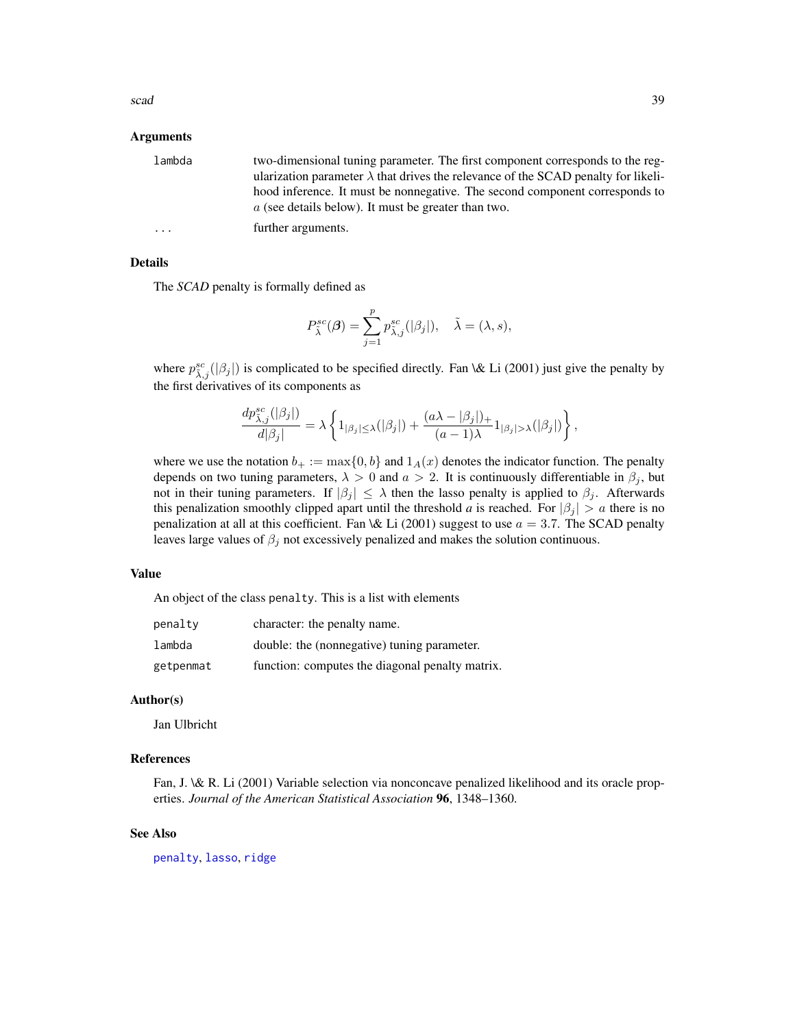#### <span id="page-38-0"></span>scad 39

#### Arguments

lambda two-dimensional tuning parameter. The first component corresponds to the regularization parameter  $\lambda$  that drives the relevance of the SCAD penalty for likelihood inference. It must be nonnegative. The second component corresponds to a (see details below). It must be greater than two. ... further arguments.

#### Details

The *SCAD* penalty is formally defined as

$$
P_{\tilde{\lambda}}^{sc}(\boldsymbol{\beta}) = \sum_{j=1}^{p} p_{\tilde{\lambda},j}^{sc}(|\beta_j|), \quad \tilde{\lambda} = (\lambda, s),
$$

where  $p_{\lambda,j}^{sc}(|\beta_j|)$  is complicated to be specified directly. Fan \& Li (2001) just give the penalty by the first derivatives of its components as

$$
\frac{dp_{\tilde{\lambda},j}^{sc}(|\beta_j|)}{d|\beta_j|} = \lambda \left\{ 1_{|\beta_j| \leq \lambda}(|\beta_j|) + \frac{(a\lambda - |\beta_j|)_+}{(a-1)\lambda} 1_{|\beta_j| > \lambda}(|\beta_j|) \right\},\,
$$

where we use the notation  $b_+ := \max\{0, b\}$  and  $1_A(x)$  denotes the indicator function. The penalty depends on two tuning parameters,  $\lambda > 0$  and  $a > 2$ . It is continuously differentiable in  $\beta_j$ , but not in their tuning parameters. If  $|\beta_j| \leq \lambda$  then the lasso penalty is applied to  $\beta_j$ . Afterwards this penalization smoothly clipped apart until the threshold *a* is reached. For  $|\beta_i| > a$  there is no penalization at all at this coefficient. Fan \& Li (2001) suggest to use  $a = 3.7$ . The SCAD penalty leaves large values of  $\beta_j$  not excessively penalized and makes the solution continuous.

#### Value

An object of the class penalty. This is a list with elements

| penalty   | character: the penalty name.                    |
|-----------|-------------------------------------------------|
| lambda    | double: the (nonnegative) tuning parameter.     |
| getpenmat | function: computes the diagonal penalty matrix. |

#### Author(s)

Jan Ulbricht

#### References

Fan, J. \& R. Li (2001) Variable selection via nonconcave penalized likelihood and its oracle properties. *Journal of the American Statistical Association* 96, 1348–1360.

#### See Also

[penalty](#page-31-1), [lasso](#page-21-1), [ridge](#page-36-1)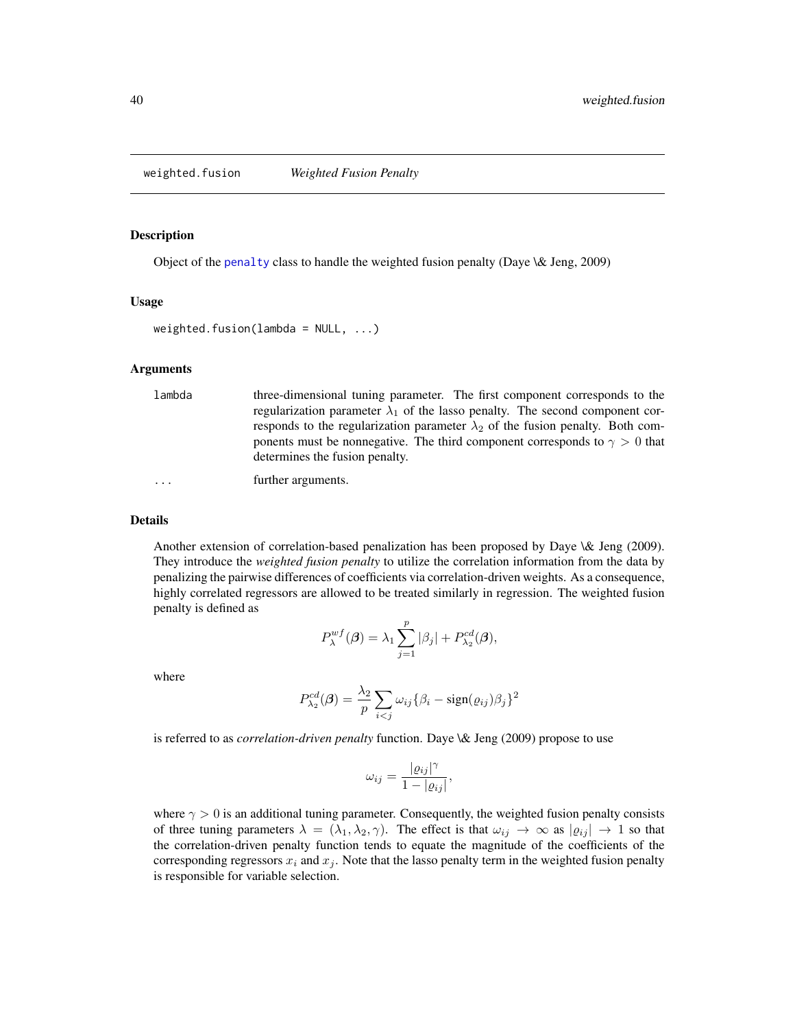<span id="page-39-1"></span><span id="page-39-0"></span>

# Description

Object of the [penalty](#page-31-1) class to handle the weighted fusion penalty (Daye \& Jeng, 2009)

#### Usage

```
weighted.fusion(lambda = NULL, ...)
```
#### Arguments

| lambda    | three-dimensional tuning parameter. The first component corresponds to the            |
|-----------|---------------------------------------------------------------------------------------|
|           | regularization parameter $\lambda_1$ of the lasso penalty. The second component cor-  |
|           | responds to the regularization parameter $\lambda_2$ of the fusion penalty. Both com- |
|           | ponents must be nonnegative. The third component corresponds to $\gamma > 0$ that     |
|           | determines the fusion penalty.                                                        |
| $\ddotsc$ | further arguments.                                                                    |

#### Details

Another extension of correlation-based penalization has been proposed by Daye \& Jeng (2009). They introduce the *weighted fusion penalty* to utilize the correlation information from the data by penalizing the pairwise differences of coefficients via correlation-driven weights. As a consequence, highly correlated regressors are allowed to be treated similarly in regression. The weighted fusion penalty is defined as

$$
P_{\lambda}^{wf}(\boldsymbol{\beta}) = \lambda_1 \sum_{j=1}^{p} |\beta_j| + P_{\lambda_2}^{cd}(\boldsymbol{\beta}),
$$

where

$$
P_{\lambda_2}^{cd}(\boldsymbol{\beta}) = \frac{\lambda_2}{p} \sum_{i < j} \omega_{ij} \{ \beta_i - \text{sign}(\varrho_{ij}) \beta_j \}^2
$$

is referred to as *correlation-driven penalty* function. Daye \& Jeng (2009) propose to use

$$
\omega_{ij} = \frac{|\varrho_{ij}|^{\gamma}}{1 - |\varrho_{ij}|},
$$

where  $\gamma > 0$  is an additional tuning parameter. Consequently, the weighted fusion penalty consists of three tuning parameters  $\lambda = (\lambda_1, \lambda_2, \gamma)$ . The effect is that  $\omega_{ij} \to \infty$  as  $|\varrho_{ij}| \to 1$  so that the correlation-driven penalty function tends to equate the magnitude of the coefficients of the corresponding regressors  $x_i$  and  $x_j$ . Note that the lasso penalty term in the weighted fusion penalty is responsible for variable selection.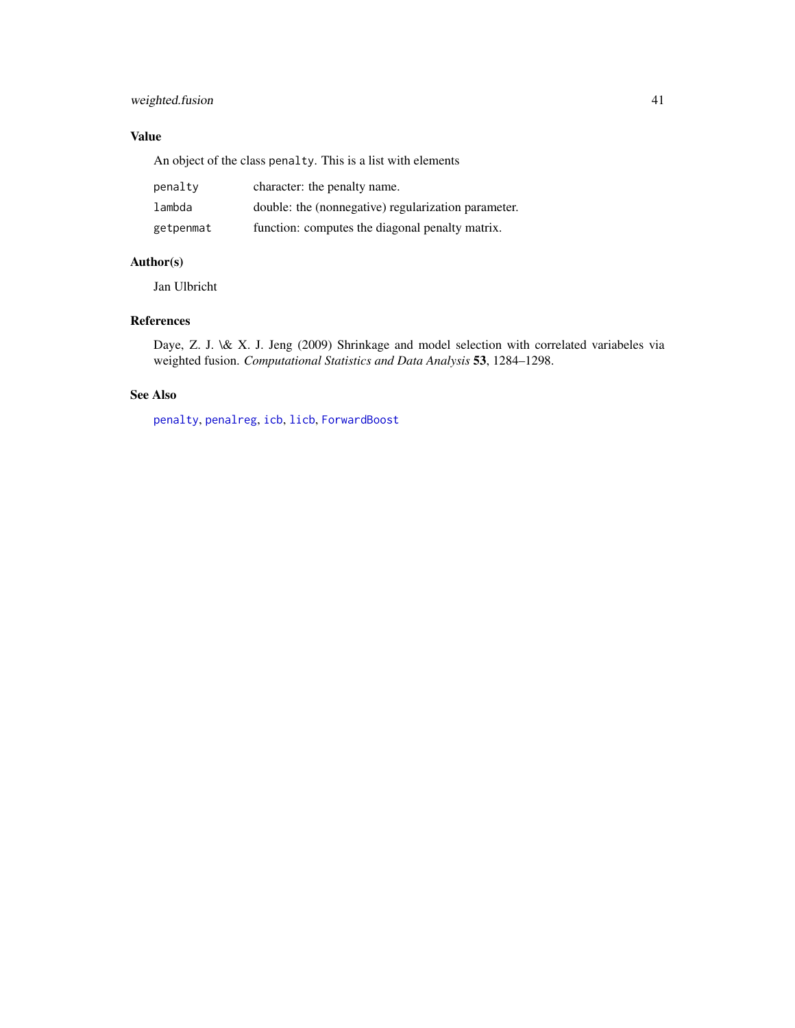# <span id="page-40-0"></span>weighted.fusion 41

# Value

An object of the class penalty. This is a list with elements

| penalty   | character: the penalty name.                        |
|-----------|-----------------------------------------------------|
| lambda    | double: the (nonnegative) regularization parameter. |
| getpenmat | function: computes the diagonal penalty matrix.     |

# Author(s)

Jan Ulbricht

# References

Daye, Z. J. \& X. J. Jeng (2009) Shrinkage and model selection with correlated variabeles via weighted fusion. *Computational Statistics and Data Analysis* 53, 1284–1298.

# See Also

[penalty](#page-31-1), [penalreg](#page-30-1), [icb](#page-20-1), [licb](#page-22-1), [ForwardBoost](#page-13-1)